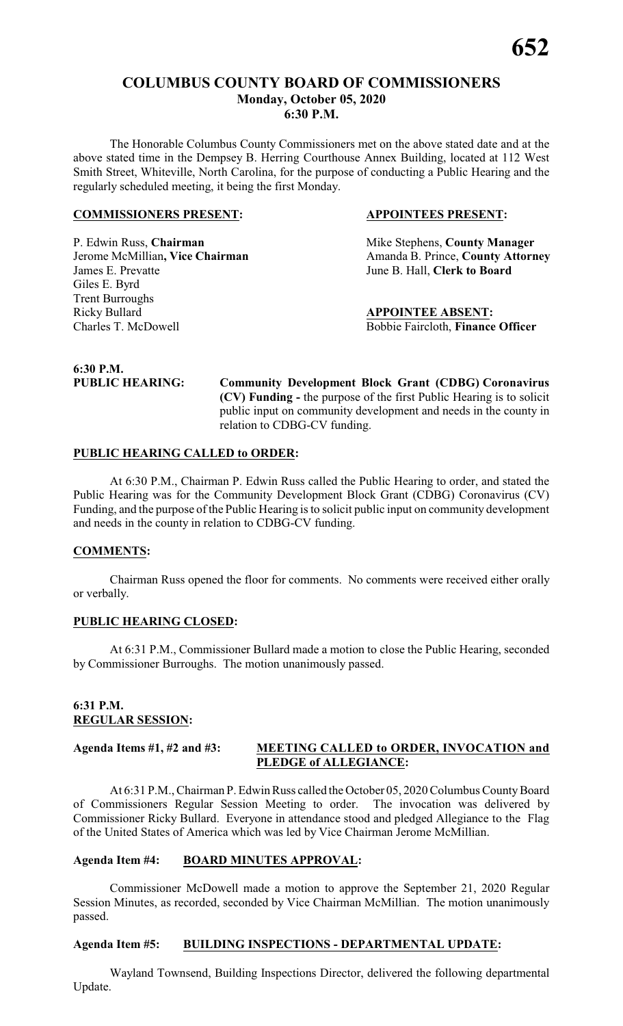# **COLUMBUS COUNTY BOARD OF COMMISSIONERS Monday, October 05, 2020 6:30 P.M.**

The Honorable Columbus County Commissioners met on the above stated date and at the above stated time in the Dempsey B. Herring Courthouse Annex Building, located at 112 West Smith Street, Whiteville, North Carolina, for the purpose of conducting a Public Hearing and the regularly scheduled meeting, it being the first Monday.

#### **COMMISSIONERS PRESENT: APPOINTEES PRESENT:**

P. Edwin Russ, **Chairman** Mike Stephens, **County Manager** James E. Prevatte June B. Hall, **Clerk to Board** Giles E. Byrd Trent Burroughs Ricky Bullard **APPOINTEE ABSENT:** Charles T. McDowell Bobbie Faircloth, **Finance Officer**

**Jerome McMillian, Vice Chairman** Amanda B. Prince, **County Attorney** 

# **6:30 P.M.**

**PUBLIC HEARING: Community Development Block Grant (CDBG) Coronavirus (CV) Funding -** the purpose of the first Public Hearing is to solicit public input on community development and needs in the county in relation to CDBG-CV funding.

#### **PUBLIC HEARING CALLED to ORDER:**

At 6:30 P.M., Chairman P. Edwin Russ called the Public Hearing to order, and stated the Public Hearing was for the Community Development Block Grant (CDBG) Coronavirus (CV) Funding, and the purpose of the Public Hearing is to solicit public input on community development and needs in the county in relation to CDBG-CV funding.

#### **COMMENTS:**

Chairman Russ opened the floor for comments. No comments were received either orally or verbally.

#### **PUBLIC HEARING CLOSED:**

At 6:31 P.M., Commissioner Bullard made a motion to close the Public Hearing, seconded by Commissioner Burroughs. The motion unanimously passed.

#### **6:31 P.M. REGULAR SESSION:**

#### **Agenda Items #1, #2 and #3: MEETING CALLED to ORDER, INVOCATION and PLEDGE of ALLEGIANCE:**

At 6:31 P.M., Chairman P. Edwin Russ called the October 05, 2020 Columbus County Board of Commissioners Regular Session Meeting to order. The invocation was delivered by Commissioner Ricky Bullard. Everyone in attendance stood and pledged Allegiance to the Flag of the United States of America which was led by Vice Chairman Jerome McMillian.

#### **Agenda Item #4: BOARD MINUTES APPROVAL:**

Commissioner McDowell made a motion to approve the September 21, 2020 Regular Session Minutes, as recorded, seconded by Vice Chairman McMillian. The motion unanimously passed.

#### **Agenda Item #5: BUILDING INSPECTIONS - DEPARTMENTAL UPDATE:**

Wayland Townsend, Building Inspections Director, delivered the following departmental Update.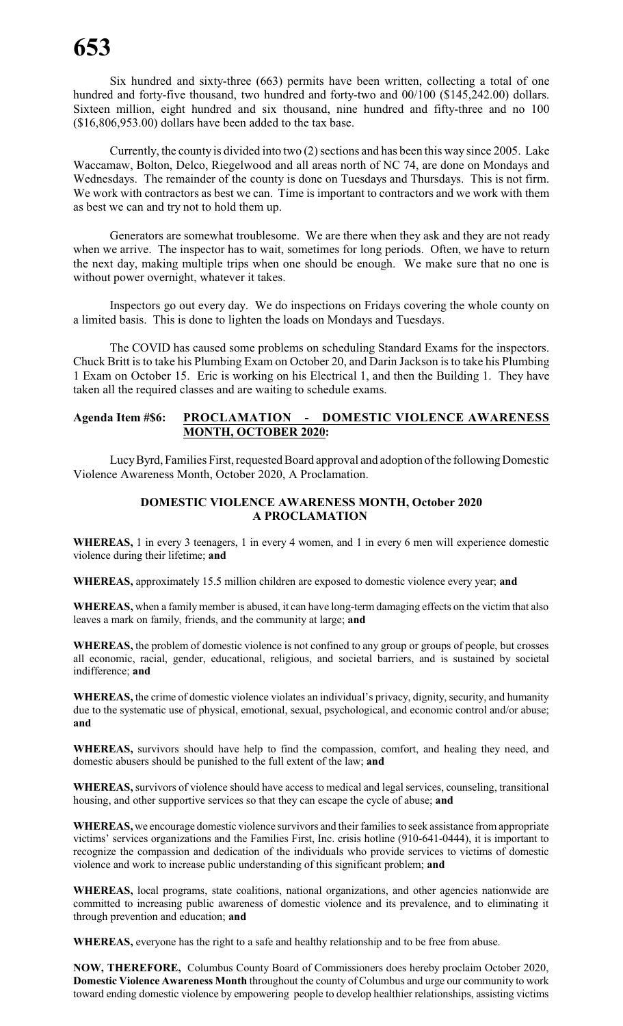Six hundred and sixty-three (663) permits have been written, collecting a total of one hundred and forty-five thousand, two hundred and forty-two and 00/100 (\$145,242.00) dollars. Sixteen million, eight hundred and six thousand, nine hundred and fifty-three and no 100 (\$16,806,953.00) dollars have been added to the tax base.

Currently, the county is divided into two (2) sections and has been this way since 2005. Lake Waccamaw, Bolton, Delco, Riegelwood and all areas north of NC 74, are done on Mondays and Wednesdays. The remainder of the county is done on Tuesdays and Thursdays. This is not firm. We work with contractors as best we can. Time is important to contractors and we work with them as best we can and try not to hold them up.

Generators are somewhat troublesome. We are there when they ask and they are not ready when we arrive. The inspector has to wait, sometimes for long periods. Often, we have to return the next day, making multiple trips when one should be enough. We make sure that no one is without power overnight, whatever it takes.

Inspectors go out every day. We do inspections on Fridays covering the whole county on a limited basis. This is done to lighten the loads on Mondays and Tuesdays.

The COVID has caused some problems on scheduling Standard Exams for the inspectors. Chuck Britt is to take his Plumbing Exam on October 20, and Darin Jackson is to take his Plumbing 1 Exam on October 15. Eric is working on his Electrical 1, and then the Building 1. They have taken all the required classes and are waiting to schedule exams.

#### **Agenda Item #\$6: PROCLAMATION - DOMESTIC VIOLENCE AWARENESS MONTH, OCTOBER 2020:**

Lucy Byrd, Families First, requested Board approval and adoption of the following Domestic Violence Awareness Month, October 2020, A Proclamation.

#### **DOMESTIC VIOLENCE AWARENESS MONTH, October 2020 A PROCLAMATION**

**WHEREAS,** 1 in every 3 teenagers, 1 in every 4 women, and 1 in every 6 men will experience domestic violence during their lifetime; **and**

**WHEREAS,** approximately 15.5 million children are exposed to domestic violence every year; **and**

**WHEREAS,** when a family member is abused, it can have long-term damaging effects on the victim that also leaves a mark on family, friends, and the community at large; **and**

**WHEREAS,** the problem of domestic violence is not confined to any group or groups of people, but crosses all economic, racial, gender, educational, religious, and societal barriers, and is sustained by societal indifference; **and**

**WHEREAS,** the crime of domestic violence violates an individual's privacy, dignity, security, and humanity due to the systematic use of physical, emotional, sexual, psychological, and economic control and/or abuse; **and**

**WHEREAS,** survivors should have help to find the compassion, comfort, and healing they need, and domestic abusers should be punished to the full extent of the law; **and**

**WHEREAS,** survivors of violence should have access to medical and legal services, counseling, transitional housing, and other supportive services so that they can escape the cycle of abuse; **and**

**WHEREAS,** we encourage domestic violence survivors and their familiesto seek assistance fromappropriate victims' services organizations and the Families First, Inc. crisis hotline (910-641-0444), it is important to recognize the compassion and dedication of the individuals who provide services to victims of domestic violence and work to increase public understanding of this significant problem; **and**

WHEREAS, local programs, state coalitions, national organizations, and other agencies nationwide are committed to increasing public awareness of domestic violence and its prevalence, and to eliminating it through prevention and education; **and**

**WHEREAS,** everyone has the right to a safe and healthy relationship and to be free from abuse.

**NOW, THEREFORE,** Columbus County Board of Commissioners does hereby proclaim October 2020, **Domestic Violence Awareness Month** throughout the county of Columbus and urge our community to work toward ending domestic violence by empowering people to develop healthier relationships, assisting victims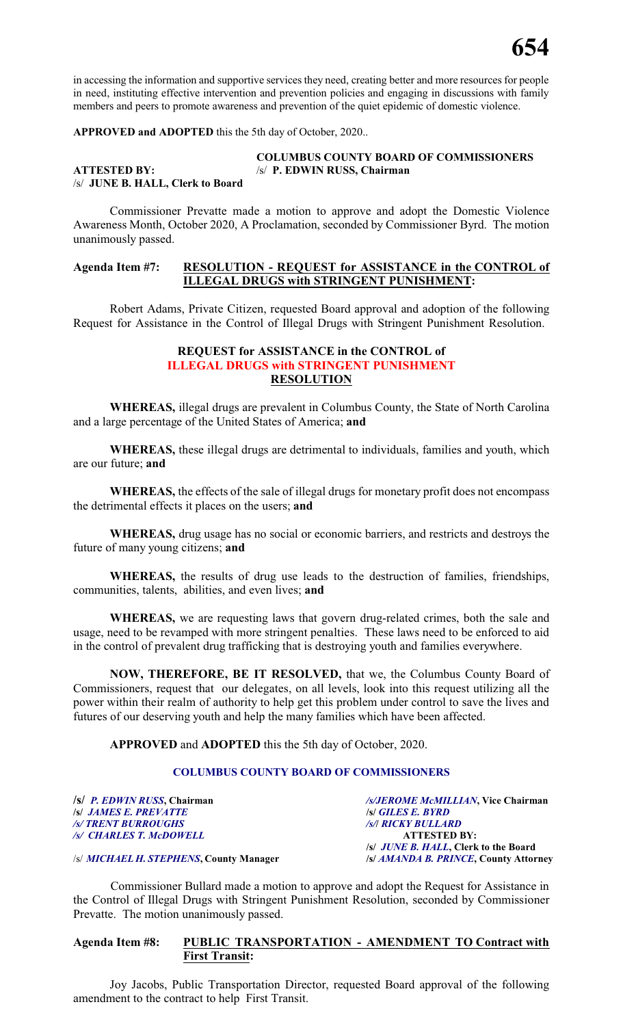in accessing the information and supportive services they need, creating better and more resources for people in need, instituting effective intervention and prevention policies and engaging in discussions with family members and peers to promote awareness and prevention of the quiet epidemic of domestic violence.

**APPROVED and ADOPTED** this the 5th day of October, 2020..

# **COLUMBUS COUNTY BOARD OF COMMISSIONERS**

#### **ATTESTED BY:** /s/ **P. EDWIN RUSS, Chairman** /s/ **JUNE B. HALL, Clerk to Board**

Commissioner Prevatte made a motion to approve and adopt the Domestic Violence Awareness Month, October 2020, A Proclamation, seconded by Commissioner Byrd. The motion unanimously passed.

#### **Agenda Item #7: RESOLUTION - REQUEST for ASSISTANCE in the CONTROL of ILLEGAL DRUGS with STRINGENT PUNISHMENT:**

Robert Adams, Private Citizen, requested Board approval and adoption of the following Request for Assistance in the Control of Illegal Drugs with Stringent Punishment Resolution.

# **REQUEST for ASSISTANCE in the CONTROL of ILLEGAL DRUGS with STRINGENT PUNISHMENT RESOLUTION**

**WHEREAS,** illegal drugs are prevalent in Columbus County, the State of North Carolina and a large percentage of the United States of America; **and**

**WHEREAS,** these illegal drugs are detrimental to individuals, families and youth, which are our future; **and**

**WHEREAS,** the effects of the sale of illegal drugs for monetary profit does not encompass the detrimental effects it places on the users; **and**

**WHEREAS,** drug usage has no social or economic barriers, and restricts and destroys the future of many young citizens; **and**

**WHEREAS,** the results of drug use leads to the destruction of families, friendships, communities, talents, abilities, and even lives; **and**

**WHEREAS,** we are requesting laws that govern drug-related crimes, both the sale and usage, need to be revamped with more stringent penalties. These laws need to be enforced to aid in the control of prevalent drug trafficking that is destroying youth and families everywhere.

**NOW, THEREFORE, BE IT RESOLVED,** that we, the Columbus County Board of Commissioners, request that our delegates, on all levels, look into this request utilizing all the power within their realm of authority to help get this problem under control to save the lives and futures of our deserving youth and help the many families which have been affected.

**APPROVED** and **ADOPTED** this the 5th day of October, 2020.

#### **COLUMBUS COUNTY BOARD OF COMMISSIONERS**

**/s/** *JAMES E. PREVATTE* **/s/** *GILES E. BYRD /s/ TRENT BURROUGHS /s/***/** *RICKY BULLARD /s/ CHARLES T. McDOWELL* **ATTESTED BY:**

**/s/** *P. EDWIN RUSS***, Chairman** */s/JEROME McMILLIAN***, Vice Chairman /s/** *JUNE B. HALL***, Clerk to the Board**

/s/ *MICHAEL H. STEPHENS***, County Manager /s/** *AMANDA B. PRINCE***, County Attorney**

 Commissioner Bullard made a motion to approve and adopt the Request for Assistance in the Control of Illegal Drugs with Stringent Punishment Resolution, seconded by Commissioner Prevatte. The motion unanimously passed.

#### **Agenda Item #8: PUBLIC TRANSPORTATION - AMENDMENT TO Contract with First Transit:**

Joy Jacobs, Public Transportation Director, requested Board approval of the following amendment to the contract to help First Transit.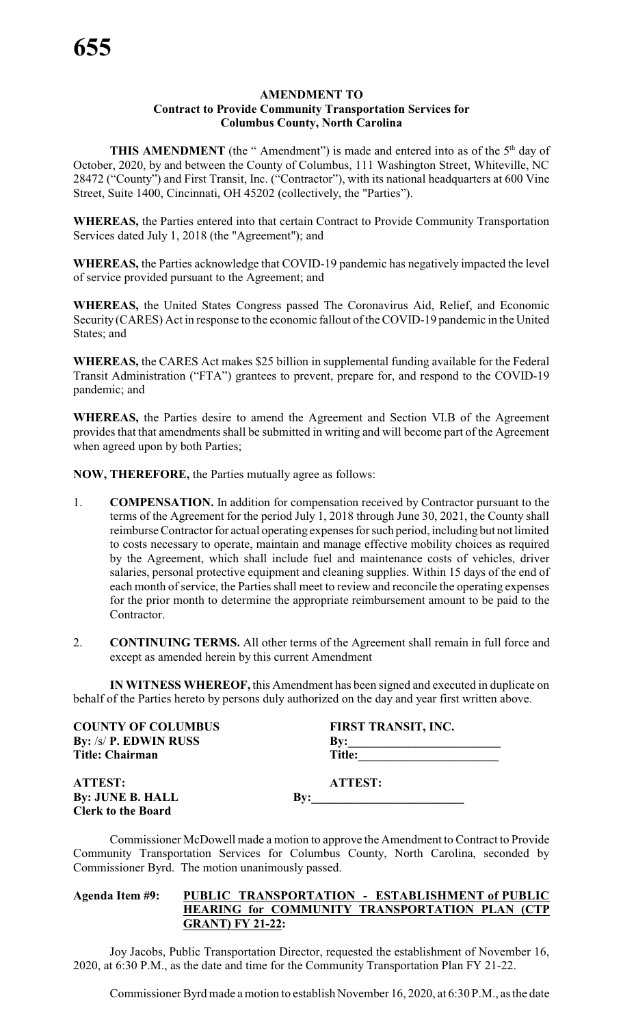#### **AMENDMENT TO Contract to Provide Community Transportation Services for Columbus County, North Carolina**

**THIS AMENDMENT** (the "Amendment") is made and entered into as of the 5<sup>th</sup> day of October, 2020, by and between the County of Columbus, 111 Washington Street, Whiteville, NC 28472 ("County") and First Transit, Inc. ("Contractor"), with its national headquarters at 600 Vine Street, Suite 1400, Cincinnati, OH 45202 (collectively, the "Parties").

**WHEREAS,** the Parties entered into that certain Contract to Provide Community Transportation Services dated July 1, 2018 (the "Agreement"); and

**WHEREAS,** the Parties acknowledge that COVID-19 pandemic has negatively impacted the level of service provided pursuant to the Agreement; and

**WHEREAS,** the United States Congress passed The Coronavirus Aid, Relief, and Economic Security (CARES) Act in response to the economic fallout of the COVID-19 pandemic in the United States; and

**WHEREAS,** the CARES Act makes \$25 billion in supplemental funding available for the Federal Transit Administration ("FTA") grantees to prevent, prepare for, and respond to the COVID-19 pandemic; and

**WHEREAS,** the Parties desire to amend the Agreement and Section VI.B of the Agreement provides that that amendments shall be submitted in writing and will become part of the Agreement when agreed upon by both Parties;

**NOW, THEREFORE,** the Parties mutually agree as follows:

- 1. **COMPENSATION.** In addition for compensation received by Contractor pursuant to the terms of the Agreement for the period July 1, 2018 through June 30, 2021, the County shall reimburse Contractor for actual operating expenses for such period, including but not limited to costs necessary to operate, maintain and manage effective mobility choices as required by the Agreement, which shall include fuel and maintenance costs of vehicles, driver salaries, personal protective equipment and cleaning supplies. Within 15 days of the end of each month of service, the Parties shall meet to review and reconcile the operating expenses for the prior month to determine the appropriate reimbursement amount to be paid to the Contractor.
- 2. **CONTINUING TERMS.** All other terms of the Agreement shall remain in full force and except as amended herein by this current Amendment

**IN WITNESS WHEREOF,** this Amendment has been signed and executed in duplicate on behalf of the Parties hereto by persons duly authorized on the day and year first written above.

| <b>COUNTY OF COLUMBUS</b><br><b>By:</b> /s/ <b>P. EDWIN RUSS</b> |                           | FIRST TRANSIT, INC.<br>By: |
|------------------------------------------------------------------|---------------------------|----------------------------|
| <b>Title: Chairman</b>                                           |                           | Title:                     |
| <b>ATTEST:</b>                                                   |                           | <b>ATTEST:</b>             |
| <b>By: JUNE B. HALL</b>                                          | $\mathbf{B} \mathbf{v}$ : |                            |
| <b>Clerk to the Board</b>                                        |                           |                            |

Commissioner McDowell made a motion to approve the Amendment to Contract to Provide Community Transportation Services for Columbus County, North Carolina, seconded by Commissioner Byrd. The motion unanimously passed.

# **Agenda Item #9: PUBLIC TRANSPORTATION - ESTABLISHMENT of PUBLIC HEARING for COMMUNITY TRANSPORTATION PLAN (CTP GRANT) FY 21-22:**

Joy Jacobs, Public Transportation Director, requested the establishment of November 16, 2020, at 6:30 P.M., as the date and time for the Community Transportation Plan FY 21-22.

Commissioner Byrd made amotion to establish November 16, 2020, at 6:30 P.M., as the date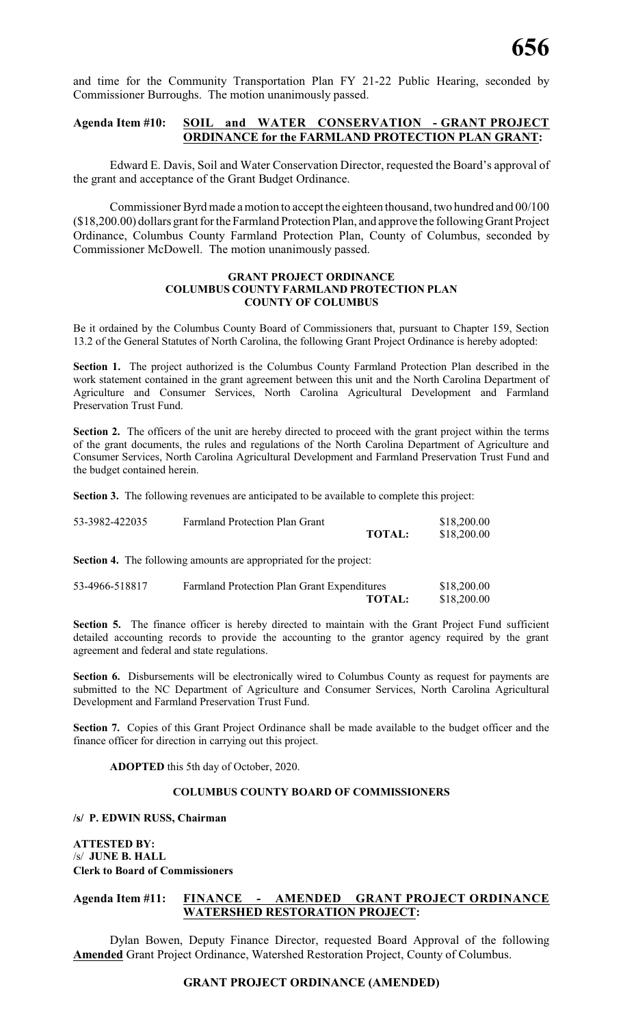and time for the Community Transportation Plan FY 21-22 Public Hearing, seconded by Commissioner Burroughs. The motion unanimously passed.

#### **Agenda Item #10: SOIL and WATER CONSERVATION - GRANT PROJECT ORDINANCE for the FARMLAND PROTECTION PLAN GRANT:**

Edward E. Davis, Soil and Water Conservation Director, requested the Board's approval of the grant and acceptance of the Grant Budget Ordinance.

Commissioner Byrd made amotion to accept the eighteen thousand, two hundred and 00/100 (\$18,200.00) dollars grant for the Farmland Protection Plan, and approve the followingGrant Project Ordinance, Columbus County Farmland Protection Plan, County of Columbus, seconded by Commissioner McDowell. The motion unanimously passed.

#### **GRANT PROJECT ORDINANCE COLUMBUS COUNTY FARMLAND PROTECTION PLAN COUNTY OF COLUMBUS**

Be it ordained by the Columbus County Board of Commissioners that, pursuant to Chapter 159, Section 13.2 of the General Statutes of North Carolina, the following Grant Project Ordinance is hereby adopted:

**Section 1.** The project authorized is the Columbus County Farmland Protection Plan described in the work statement contained in the grant agreement between this unit and the North Carolina Department of Agriculture and Consumer Services, North Carolina Agricultural Development and Farmland Preservation Trust Fund.

Section 2. The officers of the unit are hereby directed to proceed with the grant project within the terms of the grant documents, the rules and regulations of the North Carolina Department of Agriculture and Consumer Services, North Carolina Agricultural Development and Farmland Preservation Trust Fund and the budget contained herein.

**Section 3.** The following revenues are anticipated to be available to complete this project:

| 53-3982-422035 | <b>Farmland Protection Plan Grant</b> |               | \$18,200.00 |
|----------------|---------------------------------------|---------------|-------------|
|                |                                       | <b>TOTAL:</b> | \$18,200.00 |

**Section 4.** The following amounts are appropriated for the project:

| 53-4966-518817 | <b>Farmland Protection Plan Grant Expenditures</b> |               | \$18,200.00 |
|----------------|----------------------------------------------------|---------------|-------------|
|                |                                                    | <b>TOTAL:</b> | \$18,200.00 |

**Section 5.** The finance officer is hereby directed to maintain with the Grant Project Fund sufficient detailed accounting records to provide the accounting to the grantor agency required by the grant agreement and federal and state regulations.

**Section 6.** Disbursements will be electronically wired to Columbus County as request for payments are submitted to the NC Department of Agriculture and Consumer Services, North Carolina Agricultural Development and Farmland Preservation Trust Fund.

Section 7. Copies of this Grant Project Ordinance shall be made available to the budget officer and the finance officer for direction in carrying out this project.

**ADOPTED** this 5th day of October, 2020.

#### **COLUMBUS COUNTY BOARD OF COMMISSIONERS**

**/s/ P. EDWIN RUSS, Chairman**

**ATTESTED BY:** /s/ **JUNE B. HALL Clerk to Board of Commissioners**

#### **Agenda Item #11: FINANCE - AMENDED GRANT PROJECT ORDINANCE WATERSHED RESTORATION PROJECT:**

Dylan Bowen, Deputy Finance Director, requested Board Approval of the following **Amended** Grant Project Ordinance, Watershed Restoration Project, County of Columbus.

#### **GRANT PROJECT ORDINANCE (AMENDED)**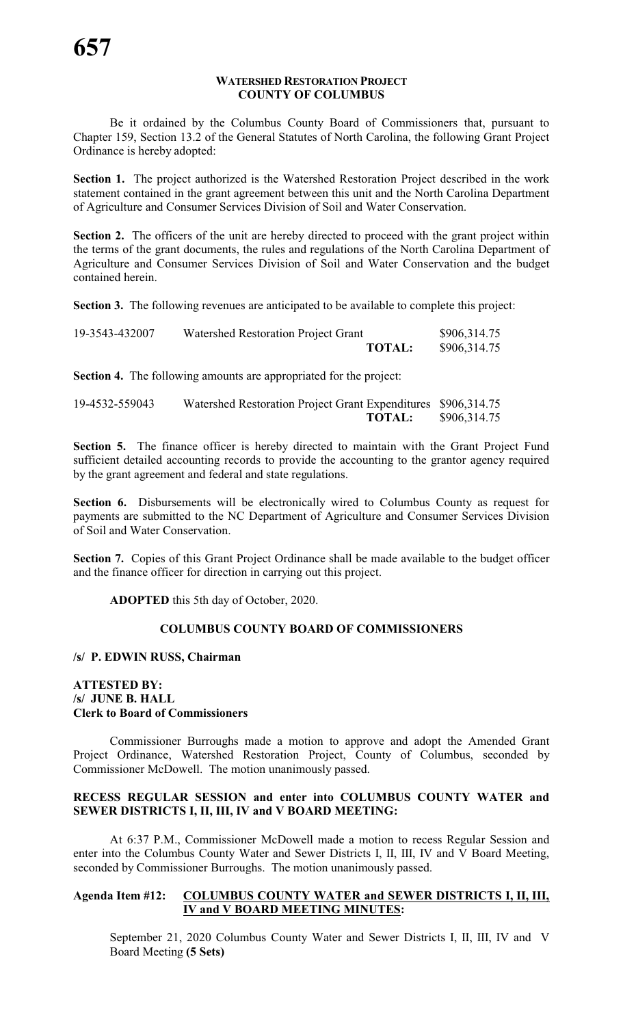#### **WATERSHED RESTORATION PROJECT COUNTY OF COLUMBUS**

Be it ordained by the Columbus County Board of Commissioners that, pursuant to Chapter 159, Section 13.2 of the General Statutes of North Carolina, the following Grant Project Ordinance is hereby adopted:

**Section 1.** The project authorized is the Watershed Restoration Project described in the work statement contained in the grant agreement between this unit and the North Carolina Department of Agriculture and Consumer Services Division of Soil and Water Conservation.

**Section 2.** The officers of the unit are hereby directed to proceed with the grant project within the terms of the grant documents, the rules and regulations of the North Carolina Department of Agriculture and Consumer Services Division of Soil and Water Conservation and the budget contained herein.

**Section 3.** The following revenues are anticipated to be available to complete this project:

| 19-3543-432007 | Watershed Restoration Project Grant |               | \$906,314.75 |
|----------------|-------------------------------------|---------------|--------------|
|                |                                     | <b>TOTAL:</b> | \$906,314.75 |

**Section 4.** The following amounts are appropriated for the project:

| 19-4532-559043 | Watershed Restoration Project Grant Expenditures \$906,314.75 |               |              |
|----------------|---------------------------------------------------------------|---------------|--------------|
|                |                                                               | <b>TOTAL:</b> | \$906,314.75 |

**Section 5.** The finance officer is hereby directed to maintain with the Grant Project Fund sufficient detailed accounting records to provide the accounting to the grantor agency required by the grant agreement and federal and state regulations.

**Section 6.** Disbursements will be electronically wired to Columbus County as request for payments are submitted to the NC Department of Agriculture and Consumer Services Division of Soil and Water Conservation.

Section 7. Copies of this Grant Project Ordinance shall be made available to the budget officer and the finance officer for direction in carrying out this project.

**ADOPTED** this 5th day of October, 2020.

#### **COLUMBUS COUNTY BOARD OF COMMISSIONERS**

#### **/s/ P. EDWIN RUSS, Chairman**

### **ATTESTED BY: /s/ JUNE B. HALL Clerk to Board of Commissioners**

Commissioner Burroughs made a motion to approve and adopt the Amended Grant Project Ordinance, Watershed Restoration Project, County of Columbus, seconded by Commissioner McDowell. The motion unanimously passed.

#### **RECESS REGULAR SESSION and enter into COLUMBUS COUNTY WATER and SEWER DISTRICTS I, II, III, IV and V BOARD MEETING:**

At 6:37 P.M., Commissioner McDowell made a motion to recess Regular Session and enter into the Columbus County Water and Sewer Districts I, II, III, IV and V Board Meeting, seconded by Commissioner Burroughs. The motion unanimously passed.

### **Agenda Item #12: COLUMBUS COUNTY WATER and SEWER DISTRICTS I, II, III, IV and V BOARD MEETING MINUTES:**

September 21, 2020 Columbus County Water and Sewer Districts I, II, III, IV and V Board Meeting **(5 Sets)**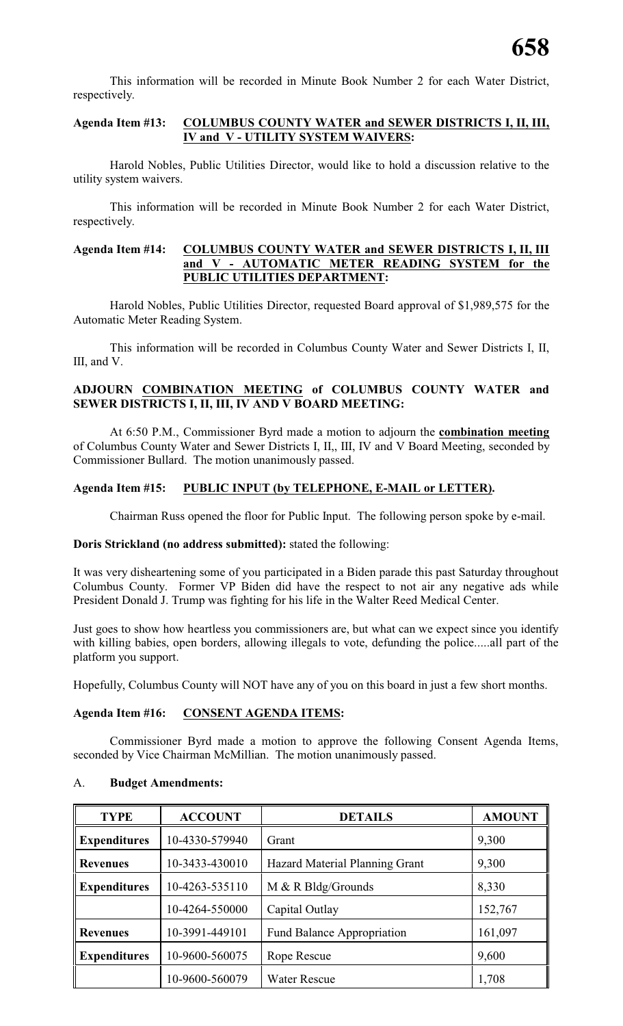This information will be recorded in Minute Book Number 2 for each Water District, respectively.

# **Agenda Item #13: COLUMBUS COUNTY WATER and SEWER DISTRICTS I, II, III, IV and V - UTILITY SYSTEM WAIVERS:**

Harold Nobles, Public Utilities Director, would like to hold a discussion relative to the utility system waivers.

This information will be recorded in Minute Book Number 2 for each Water District, respectively.

#### **Agenda Item #14: COLUMBUS COUNTY WATER and SEWER DISTRICTS I, II, III and V - AUTOMATIC METER READING SYSTEM for the PUBLIC UTILITIES DEPARTMENT:**

Harold Nobles, Public Utilities Director, requested Board approval of \$1,989,575 for the Automatic Meter Reading System.

This information will be recorded in Columbus County Water and Sewer Districts I, II, III, and V.

#### **ADJOURN COMBINATION MEETING of COLUMBUS COUNTY WATER and SEWER DISTRICTS I, II, III, IV AND V BOARD MEETING:**

At 6:50 P.M., Commissioner Byrd made a motion to adjourn the **combination meeting** of Columbus County Water and Sewer Districts I, II,, III, IV and V Board Meeting, seconded by Commissioner Bullard. The motion unanimously passed.

# **Agenda Item #15: PUBLIC INPUT (by TELEPHONE, E-MAIL or LETTER).**

Chairman Russ opened the floor for Public Input. The following person spoke by e-mail.

#### **Doris Strickland (no address submitted):** stated the following:

It was very disheartening some of you participated in a Biden parade this past Saturday throughout Columbus County. Former VP Biden did have the respect to not air any negative ads while President Donald J. Trump was fighting for his life in the Walter Reed Medical Center.

Just goes to show how heartless you commissioners are, but what can we expect since you identify with killing babies, open borders, allowing illegals to vote, defunding the police.....all part of the platform you support.

Hopefully, Columbus County will NOT have any of you on this board in just a few short months.

#### **Agenda Item #16: CONSENT AGENDA ITEMS:**

Commissioner Byrd made a motion to approve the following Consent Agenda Items, seconded by Vice Chairman McMillian. The motion unanimously passed.

#### A. **Budget Amendments:**

| <b>TYPE</b>         | <b>ACCOUNT</b> | <b>DETAILS</b>                    | <b>AMOUNT</b> |
|---------------------|----------------|-----------------------------------|---------------|
| <b>Expenditures</b> | 10-4330-579940 | Grant                             | 9,300         |
| <b>Revenues</b>     | 10-3433-430010 | Hazard Material Planning Grant    | 9,300         |
| <b>Expenditures</b> | 10-4263-535110 | M & R Bldg/Grounds                | 8,330         |
|                     | 10-4264-550000 | Capital Outlay                    | 152,767       |
| <b>Revenues</b>     | 10-3991-449101 | <b>Fund Balance Appropriation</b> | 161,097       |
| <b>Expenditures</b> | 10-9600-560075 | Rope Rescue                       | 9,600         |
|                     | 10-9600-560079 | <b>Water Rescue</b>               | 1,708         |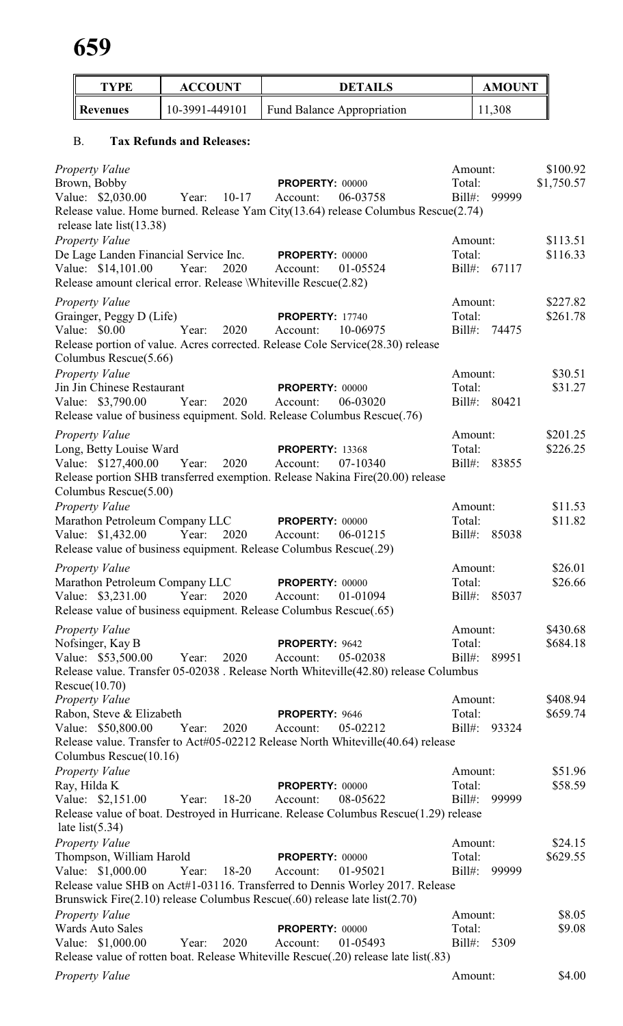| <b>TYPE</b>                                      | <b>ACCOUNT</b>                        | <b>DETAILS</b>                                                                                          |           | <b>AMOUNT</b> |                    |
|--------------------------------------------------|---------------------------------------|---------------------------------------------------------------------------------------------------------|-----------|---------------|--------------------|
| <b>Revenues</b>                                  | 10-3991-449101                        | <b>Fund Balance Appropriation</b>                                                                       |           | 11,308        |                    |
| <b>B.</b>                                        | <b>Tax Refunds and Releases:</b>      |                                                                                                         |           |               |                    |
| <b>Property Value</b>                            |                                       |                                                                                                         |           | Amount:       | \$100.92           |
| Brown, Bobby                                     |                                       | PROPERTY: 00000                                                                                         | Total:    |               | \$1,750.57         |
| Value: \$2,030.00                                | $10 - 17$<br>Year:                    | 06-03758<br>Account:                                                                                    | Bill#:    | 99999         |                    |
|                                                  |                                       | Release value. Home burned. Release Yam City(13.64) release Columbus Rescue(2.74)                       |           |               |                    |
| release late $list(13.38)$                       |                                       |                                                                                                         |           |               |                    |
| Property Value                                   |                                       |                                                                                                         |           | Amount:       | \$113.51           |
|                                                  | De Lage Landen Financial Service Inc. | <b>PROPERTY: 00000</b>                                                                                  | Total:    |               | \$116.33           |
| Value: \$14,101.00                               | Year:<br>2020                         | 01-05524<br>Account:<br>Release amount clerical error. Release <i>Whiteville Rescue</i> (2.82)          |           | Bill#: 67117  |                    |
|                                                  |                                       |                                                                                                         |           |               |                    |
| <b>Property Value</b>                            |                                       |                                                                                                         | Total:    | Amount:       | \$227.82           |
| Grainger, Peggy D (Life)<br>Value: \$0.00        | Year:<br>2020                         | <b>PROPERTY: 17740</b><br>10-06975<br>Account:                                                          | Bill#:    | 74475         | \$261.78           |
|                                                  |                                       | Release portion of value. Acres corrected. Release Cole Service(28.30) release                          |           |               |                    |
| Columbus Rescue(5.66)                            |                                       |                                                                                                         |           |               |                    |
| Property Value                                   |                                       |                                                                                                         |           | Amount:       | \$30.51            |
| Jin Jin Chinese Restaurant                       |                                       | <b>PROPERTY: 00000</b>                                                                                  | Total:    |               | \$31.27            |
| Value: \$3,790.00                                | 2020<br>Year:                         | 06-03020<br>Account:                                                                                    |           | Bill#: 80421  |                    |
|                                                  |                                       | Release value of business equipment. Sold. Release Columbus Rescue(.76)                                 |           |               |                    |
| <b>Property Value</b>                            |                                       |                                                                                                         |           | Amount:       | \$201.25           |
| Long, Betty Louise Ward                          |                                       | <b>PROPERTY: 13368</b>                                                                                  | Total:    |               | \$226.25           |
| Value: \$127,400.00                              | Year:<br>2020                         | 07-10340<br>Account:                                                                                    | Bill#:    | 83855         |                    |
|                                                  |                                       | Release portion SHB transferred exemption. Release Nakina Fire(20.00) release                           |           |               |                    |
| Columbus Rescue(5.00)                            |                                       |                                                                                                         |           |               |                    |
| Property Value<br>Marathon Petroleum Company LLC |                                       | PROPERTY: 00000                                                                                         | Total:    | Amount:       | \$11.53<br>\$11.82 |
| Value: \$1,432.00                                | Year:<br>2020                         | 06-01215<br>Account:                                                                                    |           | Bill#: 85038  |                    |
|                                                  |                                       | Release value of business equipment. Release Columbus Rescue(.29)                                       |           |               |                    |
| <b>Property Value</b>                            |                                       |                                                                                                         |           | Amount:       | \$26.01            |
| Marathon Petroleum Company LLC                   |                                       | <b>PROPERTY: 00000</b>                                                                                  | Total:    |               | \$26.66            |
| Value: \$3,231.00                                | Year:<br>2020                         | Account:<br>01-01094                                                                                    |           | Bill#: 85037  |                    |
|                                                  |                                       | Release value of business equipment. Release Columbus Rescue(.65)                                       |           |               |                    |
| <b>Property Value</b>                            |                                       |                                                                                                         |           | Amount:       | \$430.68           |
| Nofsinger, Kay B                                 |                                       | PROPERTY: 9642                                                                                          | Total:    |               | \$684.18           |
| Value: \$53,500.00                               | 2020<br>Year:                         | 05-02038<br>Account:                                                                                    | $Bill#$ : | 89951         |                    |
|                                                  |                                       | Release value. Transfer 05-02038. Release North Whiteville(42.80) release Columbus                      |           |               |                    |
| Rescue(10.70)                                    |                                       |                                                                                                         |           |               |                    |
| Property Value                                   |                                       |                                                                                                         |           | Amount:       | \$408.94           |
| Rabon, Steve & Elizabeth                         |                                       | PROPERTY: 9646                                                                                          | Total:    |               | \$659.74           |
| Value: \$50,800.00                               | Year:<br>2020                         | 05-02212<br>Account:<br>Release value. Transfer to Act#05-02212 Release North Whiteville(40.64) release | $Bill#$ : | 93324         |                    |
| Columbus Rescue(10.16)                           |                                       |                                                                                                         |           |               |                    |
| <b>Property Value</b>                            |                                       |                                                                                                         |           | Amount:       | \$51.96            |
| Ray, Hilda K                                     |                                       | <b>PROPERTY: 00000</b>                                                                                  | Total:    |               | \$58.59            |
| Value: \$2,151.00                                | $18 - 20$<br>Year:                    | Account:<br>08-05622                                                                                    | Bill#:    | 99999         |                    |
|                                                  |                                       | Release value of boat. Destroyed in Hurricane. Release Columbus Rescue(1.29) release                    |           |               |                    |
| late list $(5.34)$                               |                                       |                                                                                                         |           |               |                    |
| <b>Property Value</b>                            |                                       |                                                                                                         |           | Amount:       | \$24.15            |
| Thompson, William Harold                         |                                       | <b>PROPERTY: 00000</b>                                                                                  | Total:    |               | \$629.55           |
| Value: \$1,000.00                                | Year:<br>$18 - 20$                    | Account:<br>01-95021<br>Release value SHB on Act#1-03116. Transferred to Dennis Worley 2017. Release    | $Bill#$ : | 99999         |                    |
|                                                  |                                       | Brunswick Fire $(2.10)$ release Columbus Rescue $(.60)$ release late list $(2.70)$                      |           |               |                    |
| Property Value                                   |                                       |                                                                                                         |           | Amount:       | \$8.05             |
| <b>Wards Auto Sales</b>                          |                                       | PROPERTY: 00000                                                                                         | Total:    |               | \$9.08             |
| Value: \$1,000.00                                | Year:<br>2020                         | 01-05493<br>Account:                                                                                    | $Bill#$ : | 5309          |                    |
|                                                  |                                       | Release value of rotten boat. Release Whiteville Rescue(.20) release late list(.83)                     |           |               |                    |
| <b>Property Value</b>                            |                                       |                                                                                                         |           | Amount:       | \$4.00             |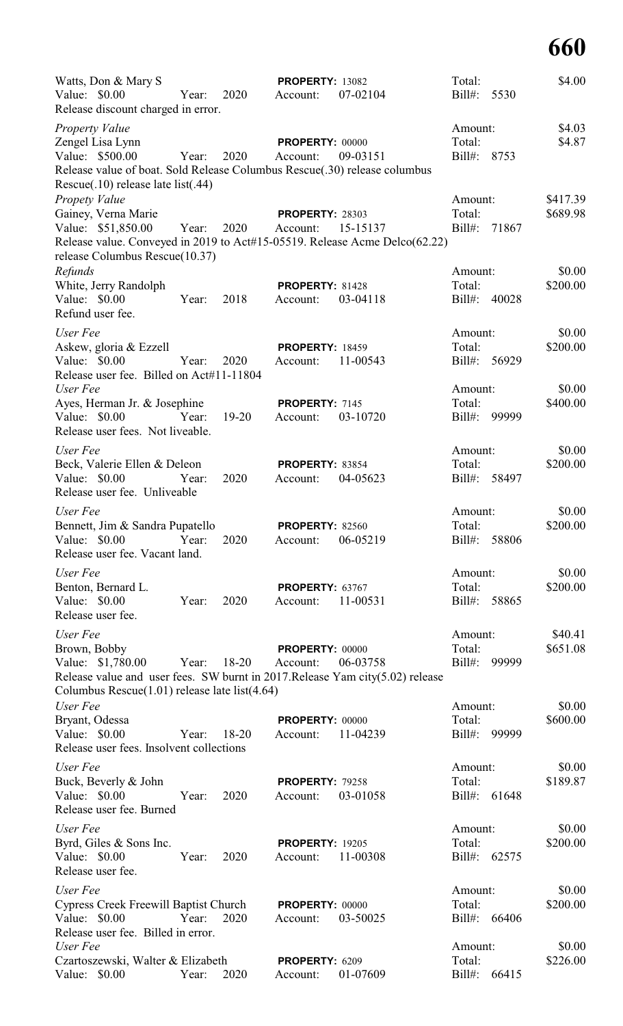| Watts, Don & Mary S                                                                                                                |             |           | <b>PROPERTY: 13082</b>     |          | Total:                 |       | \$4.00             |
|------------------------------------------------------------------------------------------------------------------------------------|-------------|-----------|----------------------------|----------|------------------------|-------|--------------------|
| Value: \$0.00<br>Release discount charged in error.                                                                                | Year:       | 2020      | Account:                   | 07-02104 | Bill#:                 | 5530  |                    |
| Property Value                                                                                                                     |             |           |                            |          | Amount:                |       | \$4.03             |
| Zengel Lisa Lynn                                                                                                                   |             |           | <b>PROPERTY: 00000</b>     |          | Total:                 |       | \$4.87             |
| Value: \$500.00<br>Release value of boat. Sold Release Columbus Rescue(.30) release columbus<br>Rescue(.10) release late list(.44) | Year:       | 2020      | Account:                   | 09-03151 | Bill#: 8753            |       |                    |
| <b>Propety Value</b>                                                                                                               |             |           |                            |          | Amount:                |       | \$417.39           |
| Gainey, Verna Marie                                                                                                                |             |           | <b>PROPERTY: 28303</b>     |          | Total:                 |       | \$689.98           |
| Value: \$51,850.00<br>Release value. Conveyed in 2019 to Act#15-05519. Release Acme Delco(62.22)<br>release Columbus Rescue(10.37) | Year:       | 2020      | Account:                   | 15-15137 | Bill#:                 | 71867 |                    |
| Refunds                                                                                                                            |             |           |                            |          | Amount:                |       | \$0.00             |
| White, Jerry Randolph                                                                                                              |             |           | PROPERTY: 81428            |          | Total:                 |       | \$200.00           |
| Value: \$0.00<br>Refund user fee.                                                                                                  | Year:       | 2018      | Account:                   | 03-04118 | Bill#:                 | 40028 |                    |
| User Fee                                                                                                                           |             |           |                            |          | Amount:                |       | \$0.00             |
| Askew, gloria & Ezzell                                                                                                             |             |           | <b>PROPERTY: 18459</b>     |          | Total:                 |       | \$200.00           |
| Value: \$0.00<br>Release user fee. Billed on Act#11-11804                                                                          | Year:       | 2020      | Account:                   | 11-00543 | Bill#:                 | 56929 |                    |
| User Fee<br>Ayes, Herman Jr. & Josephine                                                                                           |             |           | PROPERTY: 7145             |          | Amount:<br>Total:      |       | \$0.00<br>\$400.00 |
| Value: \$0.00<br>Release user fees. Not liveable.                                                                                  | Year:       | $19 - 20$ | Account:                   | 03-10720 | Bill#:                 | 99999 |                    |
| User Fee                                                                                                                           |             |           |                            |          | Amount:                |       | \$0.00             |
| Beck, Valerie Ellen & Deleon                                                                                                       |             |           | PROPERTY: 83854            |          | Total:                 |       | \$200.00           |
| Value: \$0.00<br>Release user fee. Unliveable                                                                                      | Year:       | 2020      | Account:                   | 04-05623 | $Bill#$ :              | 58497 |                    |
| User Fee                                                                                                                           |             |           |                            |          | Amount:                |       | \$0.00             |
| Bennett, Jim & Sandra Pupatello                                                                                                    |             |           | <b>PROPERTY: 82560</b>     |          | Total:                 |       | \$200.00           |
| Value: \$0.00 Year:<br>Release user fee. Vacant land.                                                                              |             | 2020      | Account:                   | 06-05219 | Bill#: 58806           |       |                    |
| User Fee                                                                                                                           |             |           |                            |          | Amount:                |       | \$0.00             |
| Benton, Bernard L.                                                                                                                 |             |           | PROPERTY: 63767            |          | Total:                 |       | \$200.00           |
| Value: \$0.00<br>Release user fee.                                                                                                 | Year:       | 2020      | Account: 11-00531          |          | Bill#: 58865           |       |                    |
| User Fee                                                                                                                           |             |           |                            |          | Amount:                |       | \$40.41            |
| Brown, Bobby                                                                                                                       |             |           | <b>PROPERTY: 00000</b>     |          | Total:                 |       | \$651.08           |
| Value: \$1,780.00 Year: 18-20<br>Release value and user fees. SW burnt in 2017. Release Yam city(5.02) release                     |             |           | Account:                   | 06-03758 | Bill#: 99999           |       |                    |
| Columbus Rescue $(1.01)$ release late list $(4.64)$                                                                                |             |           |                            |          |                        |       |                    |
| User Fee<br>Bryant, Odessa                                                                                                         |             |           | <b>PROPERTY: 00000</b>     |          | Amount:<br>Total:      |       | \$0.00<br>\$600.00 |
| Value: \$0.00<br>Release user fees. Insolvent collections                                                                          | Year: 18-20 |           | Account: 11-04239          |          | Bill#: 99999           |       |                    |
| User Fee                                                                                                                           |             |           |                            |          | Amount:                |       | \$0.00             |
| Buck, Beverly & John                                                                                                               |             |           | <b>PROPERTY: 79258</b>     |          | Total:                 |       | \$189.87           |
| Value: \$0.00<br>Release user fee. Burned                                                                                          | Year:       | 2020      | Account:                   | 03-01058 | Bill#: 61648           |       |                    |
| User Fee                                                                                                                           |             |           |                            |          | Amount:                |       | \$0.00             |
| Byrd, Giles & Sons Inc.                                                                                                            |             |           | <b>PROPERTY: 19205</b>     |          | Total:                 |       | \$200.00           |
| Value: $$0.00$<br>Release user fee.                                                                                                | Year:       | 2020      | Account: 11-00308          |          | Bill#: 62575           |       |                    |
| User Fee                                                                                                                           |             |           |                            |          | Amount:                |       | \$0.00             |
| Cypress Creek Freewill Baptist Church PROPERTY: 00000                                                                              |             |           |                            |          | Total:                 |       | \$200.00           |
| Value: \$0.00<br>Release user fee. Billed in error.                                                                                | Year:       | 2020      | Account: 03-50025          |          | Bill#: 66406           |       |                    |
| User Fee                                                                                                                           |             |           |                            |          | Amount:                |       | \$0.00             |
| Czartoszewski, Walter & Elizabeth<br>Value: \$0.00                                                                                 | Year:       | 2020      | PROPERTY: 6209<br>Account: | 01-07609 | Total:<br>Bill#: 66415 |       | \$226.00           |
|                                                                                                                                    |             |           |                            |          |                        |       |                    |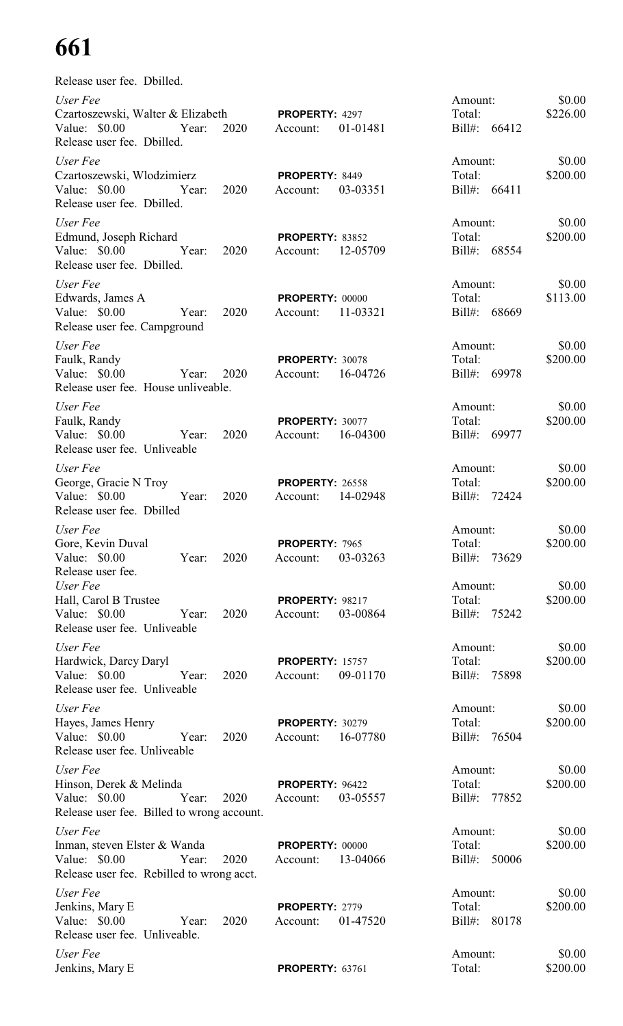| Release user fee. Dbilled.                                                                                              |                                                |                                         |                    |
|-------------------------------------------------------------------------------------------------------------------------|------------------------------------------------|-----------------------------------------|--------------------|
| User Fee<br>Czartoszewski, Walter & Elizabeth<br>Value: \$0.00 Year: 2020<br>Release user fee. Dbilled.                 | <b>PROPERTY: 4297</b><br>01-01481<br>Account:  | Amount:<br>Total:<br>Bill#: 66412       | \$0.00<br>\$226.00 |
| User Fee<br>Czartoszewski, Włodzimierz<br>Value: \$0.00 Year:<br>2020<br>Release user fee. Dbilled.                     | PROPERTY: 8449<br>03-03351<br>Account:         | Amount:<br>Total:<br>Bill#: 66411       | \$0.00<br>\$200.00 |
| User Fee<br>Edmund, Joseph Richard<br>Value: \$0.00 Year:<br>2020<br>Release user fee. Dbilled.                         | PROPERTY: 83852<br>12-05709<br>Account:        | Amount:<br>Total:<br>Bill#: 68554       | \$0.00<br>\$200.00 |
| User Fee<br>Edwards, James A<br>Value: \$0.00<br>2020<br>Year:<br>Release user fee. Campground                          | <b>PROPERTY: 00000</b><br>11-03321<br>Account: | Amount:<br>Total:<br>Bill#: 68669       | \$0.00<br>\$113.00 |
| User Fee<br>Faulk, Randy<br>Value: \$0.00<br>Year:<br>2020<br>Release user fee. House unliveable.                       | <b>PROPERTY: 30078</b><br>16-04726<br>Account: | Amount:<br>Total:<br>Bill#: 69978       | \$0.00<br>\$200.00 |
| User Fee<br>Faulk, Randy<br>Value: \$0.00<br>2020<br>Year:<br>Release user fee. Unliveable                              | PROPERTY: 30077<br>Account: 16-04300           | Amount:<br>Total:<br>Bill#: 69977       | \$0.00<br>\$200.00 |
| User Fee<br>George, Gracie N Troy<br>Value: \$0.00<br>Year:<br>2020<br>Release user fee. Dbilled                        | <b>PROPERTY: 26558</b><br>14-02948<br>Account: | Amount:<br>Total:<br>Bill#: 72424       | \$0.00<br>\$200.00 |
| User Fee<br>Gore, Kevin Duval<br>Value: \$0.00<br>2020<br>Year:<br>Release user fee.                                    | PROPERTY: 7965<br>03-03263<br>Account:         | Amount:<br>Total:<br>$Bill#$ :<br>73629 | \$0.00<br>\$200.00 |
| User Fee<br>Hall, Carol B Trustee<br>Value: $$0.00$<br>2020<br>Year:<br>Release user fee. Unliveable                    | <b>PROPERTY: 98217</b><br>03-00864<br>Account: | Amount:<br>Total:<br>Bill#: 75242       | \$0.00<br>\$200.00 |
| User Fee<br>Hardwick, Darcy Daryl<br>Value: \$0.00<br>Year:<br>2020<br>Release user fee. Unliveable                     | <b>PROPERTY: 15757</b><br>09-01170<br>Account: | Amount:<br>Total:<br>Bill#: 75898       | \$0.00<br>\$200.00 |
| User Fee<br>Hayes, James Henry<br>Value: \$0.00<br>Year:<br>2020<br>Release user fee. Unliveable                        | <b>PROPERTY: 30279</b><br>16-07780<br>Account: | Amount:<br>Total:<br>Bill#: 76504       | \$0.00<br>\$200.00 |
| User Fee<br>Hinson, Derek & Melinda<br>Year:<br>Value: \$0.00<br>2020<br>Release user fee. Billed to wrong account.     | PROPERTY: 96422<br>03-05557<br>Account:        | Amount:<br>Total:<br>Bill#: 77852       | \$0.00<br>\$200.00 |
| User Fee<br>Inman, steven Elster & Wanda<br>Value: \$0.00<br>2020<br>Year:<br>Release user fee. Rebilled to wrong acct. | <b>PROPERTY: 00000</b><br>Account: 13-04066    | Amount:<br>Total:<br>Bill#: 50006       | \$0.00<br>\$200.00 |
| User Fee<br>Jenkins, Mary E<br>Value: \$0.00<br>2020<br>Year:<br>Release user fee. Unliveable.                          | PROPERTY: 2779<br>Account: 01-47520            | Amount:<br>Total:<br>Bill#: 80178       | \$0.00<br>\$200.00 |
| User Fee<br>Jenkins, Mary E                                                                                             | <b>PROPERTY: 63761</b>                         | Amount:<br>Total:                       | \$0.00<br>\$200.00 |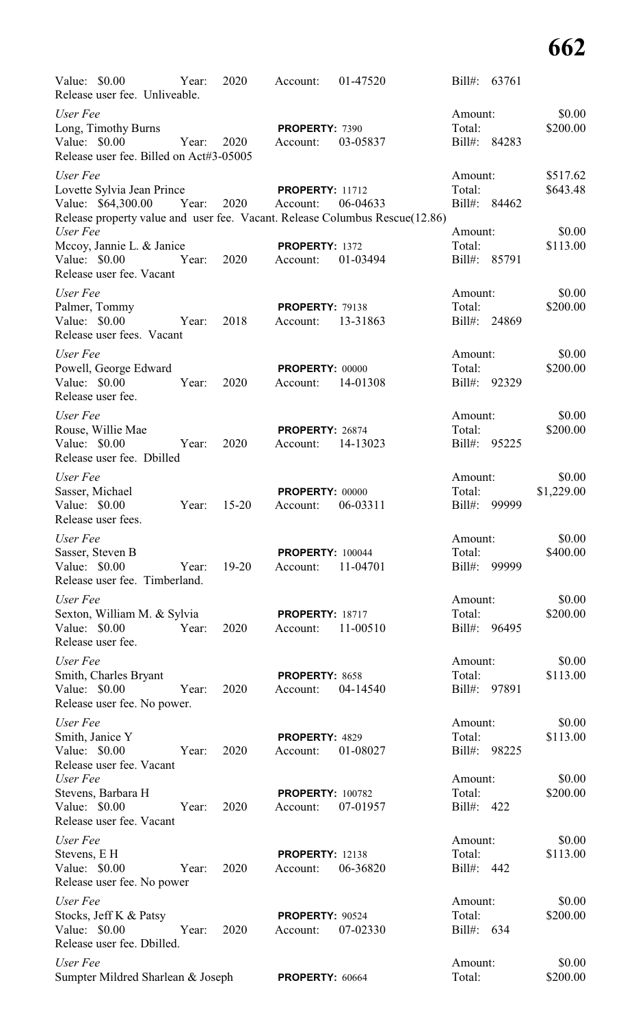| Value: \$0.00<br>Release user fee. Unliveable.           | Year: | 2020      | Account:                | 01-47520                                                                                |                   | Bill#: 63761 |                    |
|----------------------------------------------------------|-------|-----------|-------------------------|-----------------------------------------------------------------------------------------|-------------------|--------------|--------------------|
| User Fee                                                 |       |           |                         |                                                                                         | Amount:           |              | \$0.00             |
| Long, Timothy Burns                                      |       |           | PROPERTY: 7390          |                                                                                         | Total:            |              | \$200.00           |
| Value: \$0.00<br>Release user fee. Billed on Act#3-05005 | Year: | 2020      | Account:                | 03-05837                                                                                |                   | Bill#: 84283 |                    |
| User Fee                                                 |       |           |                         |                                                                                         | Amount:           |              | \$517.62           |
| Lovette Sylvia Jean Prince                               |       |           | <b>PROPERTY: 11712</b>  |                                                                                         | Total:            |              | \$643.48           |
| Value: \$64,300.00                                       | Year: | 2020      | Account:                | 06-04633<br>Release property value and user fee. Vacant. Release Columbus Rescue(12.86) |                   | Bill#: 84462 |                    |
| User Fee                                                 |       |           |                         |                                                                                         | Amount:           |              | \$0.00             |
| Mccoy, Jannie L. & Janice                                |       |           | PROPERTY: 1372          |                                                                                         | Total:            |              | \$113.00           |
| Value: \$0.00                                            | Year: | 2020      | Account:                | 01-03494                                                                                | Bill#:            | 85791        |                    |
| Release user fee. Vacant                                 |       |           |                         |                                                                                         |                   |              |                    |
| User Fee                                                 |       |           |                         |                                                                                         | Amount:           |              | \$0.00             |
| Palmer, Tommy                                            |       |           | <b>PROPERTY: 79138</b>  |                                                                                         | Total:            |              | \$200.00           |
| Value: \$0.00<br>Release user fees. Vacant               | Year: | 2018      | Account:                | 13-31863                                                                                |                   | Bill#: 24869 |                    |
| User Fee                                                 |       |           |                         |                                                                                         | Amount:           |              | \$0.00             |
| Powell, George Edward                                    |       |           | PROPERTY: 00000         |                                                                                         | Total:            |              | \$200.00           |
| Value: \$0.00                                            | Year: | 2020      | Account:                | 14-01308                                                                                |                   | Bill#: 92329 |                    |
| Release user fee.                                        |       |           |                         |                                                                                         |                   |              |                    |
| User Fee                                                 |       |           |                         |                                                                                         | Amount:           |              | \$0.00             |
| Rouse, Willie Mae                                        |       |           | PROPERTY: 26874         |                                                                                         | Total:            |              | \$200.00           |
| Value: $$0.00$<br>Release user fee. Dbilled              | Year: | 2020      | Account:                | 14-13023                                                                                |                   | Bill#: 95225 |                    |
| User Fee                                                 |       |           |                         |                                                                                         | Amount:           |              | \$0.00             |
| Sasser, Michael                                          |       |           | PROPERTY: 00000         |                                                                                         | Total:            |              | \$1,229.00         |
| Value: \$0.00<br>Release user fees.                      | Year: | $15 - 20$ | Account:                | 06-03311                                                                                | Bill#:            | 99999        |                    |
| User Fee                                                 |       |           |                         |                                                                                         | Amount:           |              | \$0.00             |
| Sasser, Steven B                                         |       |           | <b>PROPERTY: 100044</b> |                                                                                         | Total:            |              | \$400.00           |
| Value: \$0.00<br>Release user fee. Timberland.           | Year: | 19-20     | Account:                | 11-04701                                                                                | $Bill#$ :         | 99999        |                    |
| User Fee                                                 |       |           |                         |                                                                                         | Amount:           |              | \$0.00             |
| Sexton, William M. & Sylvia                              |       |           | <b>PROPERTY: 18717</b>  |                                                                                         | Total:            |              | \$200.00           |
| Value: \$0.00                                            | Year: | 2020      | Account:                | 11-00510                                                                                | Bill#:            | 96495        |                    |
| Release user fee.                                        |       |           |                         |                                                                                         |                   |              |                    |
| User Fee                                                 |       |           |                         |                                                                                         | Amount:           |              | \$0.00             |
| Smith, Charles Bryant                                    |       |           | PROPERTY: 8658          |                                                                                         | Total:            |              | \$113.00           |
| Value: \$0.00<br>Release user fee. No power.             | Year: | 2020      | Account:                | 04-14540                                                                                | Bill#:            | 97891        |                    |
| User Fee                                                 |       |           |                         |                                                                                         | Amount:           |              | \$0.00             |
| Smith, Janice Y                                          |       |           | PROPERTY: 4829          |                                                                                         | Total:            |              | \$113.00           |
| Value: \$0.00                                            | Year: | 2020      | Account:                | 01-08027                                                                                | Bill#:            | 98225        |                    |
| Release user fee. Vacant<br>User Fee                     |       |           |                         |                                                                                         | Amount:           |              | \$0.00             |
| Stevens, Barbara H                                       |       |           | <b>PROPERTY: 100782</b> |                                                                                         | Total:            |              | \$200.00           |
| Value: \$0.00                                            | Year: | 2020      | Account:                | 07-01957                                                                                | Bill#:            | 422          |                    |
| Release user fee. Vacant                                 |       |           |                         |                                                                                         |                   |              |                    |
| User Fee                                                 |       |           |                         |                                                                                         | Amount:           |              | \$0.00             |
| Stevens, E H                                             |       |           | <b>PROPERTY: 12138</b>  |                                                                                         | Total:            |              | \$113.00           |
| Value: \$0.00                                            | Year: | 2020      | Account:                | 06-36820                                                                                | Bill#:            | 442          |                    |
| Release user fee. No power                               |       |           |                         |                                                                                         |                   |              |                    |
| User Fee<br>Stocks, Jeff K & Patsy                       |       |           | PROPERTY: 90524         |                                                                                         | Amount:<br>Total: |              | \$0.00<br>\$200.00 |
| Value: \$0.00                                            | Year: | 2020      | Account:                | 07-02330                                                                                | Bill#: 634        |              |                    |
| Release user fee. Dbilled.                               |       |           |                         |                                                                                         |                   |              |                    |
| User Fee                                                 |       |           |                         |                                                                                         | Amount:           |              | \$0.00             |
| Sumpter Mildred Sharlean & Joseph                        |       |           | PROPERTY: 60664         |                                                                                         | Total:            |              | \$200.00           |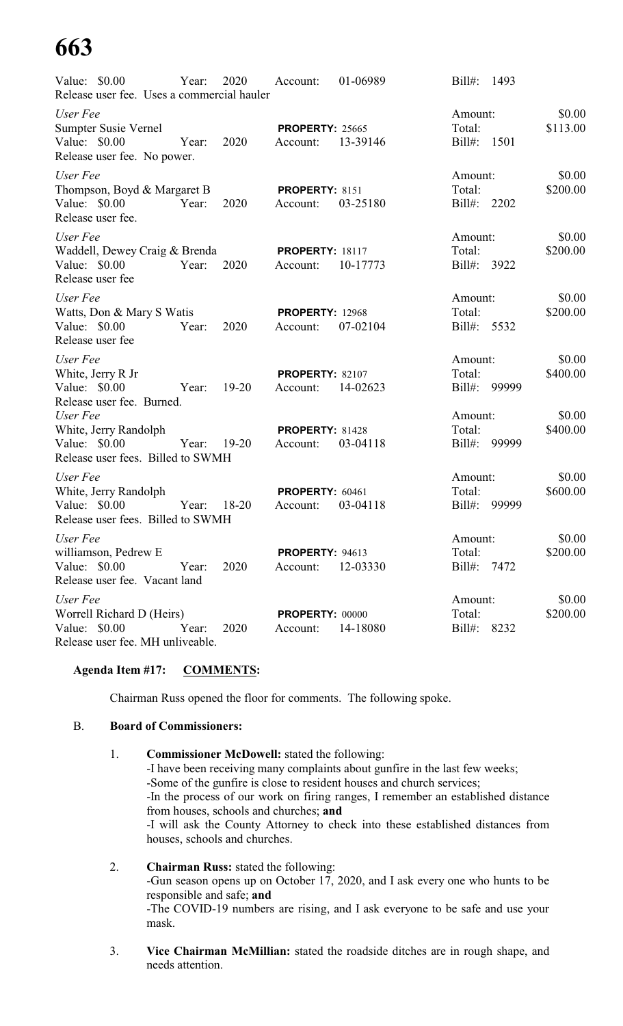| Value: \$0.00<br>Release user fee. Uses a commercial hauler                                | Year: | 2020      | Account:                           | 01-06989 | $Bill#$ :                        | 1493  |                    |
|--------------------------------------------------------------------------------------------|-------|-----------|------------------------------------|----------|----------------------------------|-------|--------------------|
| User Fee<br>Sumpter Susie Vernel<br>Value: \$0.00<br>Release user fee. No power.           | Year: | 2020      | <b>PROPERTY: 25665</b><br>Account: | 13-39146 | Amount:<br>Total:<br>$Bill#$ :   | 1501  | \$0.00<br>\$113.00 |
| User Fee<br>Thompson, Boyd & Margaret B<br>Value: \$0.00<br>Release user fee.              | Year: | 2020      | PROPERTY: 8151<br>Account:         | 03-25180 | Amount:<br>Total:<br>Bill#: 2202 |       | \$0.00<br>\$200.00 |
| User Fee<br>Waddell, Dewey Craig & Brenda<br>Value: \$0.00<br>Release user fee             | Year: | 2020      | <b>PROPERTY: 18117</b><br>Account: | 10-17773 | Amount:<br>Total:<br>Bill#: 3922 |       | \$0.00<br>\$200.00 |
| User Fee<br>Watts, Don & Mary S Watis<br>Value: \$0.00<br>Release user fee                 | Year: | 2020      | <b>PROPERTY: 12968</b><br>Account: | 07-02104 | Amount:<br>Total:<br>Bill#: 5532 |       | \$0.00<br>\$200.00 |
| User Fee<br>White, Jerry R Jr<br>Value: \$0.00<br>Release user fee. Burned.                | Year: | $19 - 20$ | <b>PROPERTY: 82107</b><br>Account: | 14-02623 | Amount:<br>Total:<br>$Bill#$ :   | 99999 | \$0.00<br>\$400.00 |
| User Fee<br>White, Jerry Randolph<br>Value: \$0.00<br>Release user fees. Billed to SWMH    | Year: | $19 - 20$ | PROPERTY: 81428<br>Account:        | 03-04118 | Amount:<br>Total:<br>$Bill#$ :   | 99999 | \$0.00<br>\$400.00 |
| User Fee<br>White, Jerry Randolph<br>Value: \$0.00<br>Release user fees. Billed to SWMH    | Year: | $18 - 20$ | <b>PROPERTY: 60461</b><br>Account: | 03-04118 | Amount:<br>Total:<br>$Bill#$ :   | 99999 | \$0.00<br>\$600.00 |
| User Fee<br>williamson, Pedrew E<br>Value: $$0.00$<br>Release user fee. Vacant land        | Year: | 2020      | <b>PROPERTY: 94613</b><br>Account: | 12-03330 | Amount:<br>Total:<br>Bill#: 7472 |       | \$0.00<br>\$200.00 |
| User Fee<br>Worrell Richard D (Heirs)<br>Value: \$0.00<br>Release user fee. MH unliveable. | Year: | 2020      | <b>PROPERTY: 00000</b><br>Account: | 14-18080 | Amount:<br>Total:<br>Bill#: 8232 |       | \$0.00<br>\$200.00 |

# **Agenda Item #17: COMMENTS:**

Chairman Russ opened the floor for comments. The following spoke.

#### B. **Board of Commissioners:**

- 1. **Commissioner McDowell:** stated the following: -I have been receiving many complaints about gunfire in the last few weeks; -Some of the gunfire is close to resident houses and church services; -In the process of our work on firing ranges, I remember an established distance from houses, schools and churches; **and** -I will ask the County Attorney to check into these established distances from houses, schools and churches.
- 2. **Chairman Russ:** stated the following: -Gun season opens up on October 17, 2020, and I ask every one who hunts to be responsible and safe; **and** -The COVID-19 numbers are rising, and I ask everyone to be safe and use your mask.
- 3. **Vice Chairman McMillian:** stated the roadside ditches are in rough shape, and needs attention.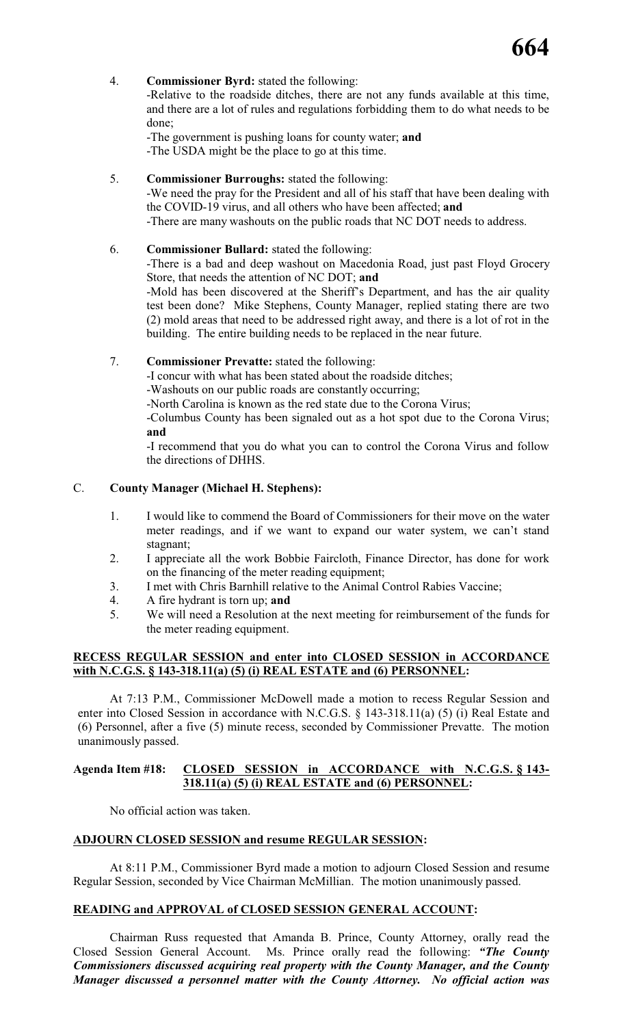### 4. **Commissioner Byrd:** stated the following:

-Relative to the roadside ditches, there are not any funds available at this time, and there are a lot of rules and regulations forbidding them to do what needs to be done;

-The government is pushing loans for county water; **and** -The USDA might be the place to go at this time.

5. **Commissioner Burroughs:** stated the following:

-We need the pray for the President and all of his staff that have been dealing with the COVID-19 virus, and all others who have been affected; **and** -There are many washouts on the public roads that NC DOT needs to address.

# 6. **Commissioner Bullard:** stated the following:

-There is a bad and deep washout on Macedonia Road, just past Floyd Grocery Store, that needs the attention of NC DOT; **and**

-Mold has been discovered at the Sheriff's Department, and has the air quality test been done? Mike Stephens, County Manager, replied stating there are two (2) mold areas that need to be addressed right away, and there is a lot of rot in the building. The entire building needs to be replaced in the near future.

# 7. **Commissioner Prevatte:** stated the following:

-I concur with what has been stated about the roadside ditches;

-Washouts on our public roads are constantly occurring;

-North Carolina is known as the red state due to the Corona Virus;

-Columbus County has been signaled out as a hot spot due to the Corona Virus; **and**

-I recommend that you do what you can to control the Corona Virus and follow the directions of DHHS.

# C. **County Manager (Michael H. Stephens):**

- 1. I would like to commend the Board of Commissioners for their move on the water meter readings, and if we want to expand our water system, we can't stand stagnant;
- 2. I appreciate all the work Bobbie Faircloth, Finance Director, has done for work on the financing of the meter reading equipment;
- 3. I met with Chris Barnhill relative to the Animal Control Rabies Vaccine;
- 4. A fire hydrant is torn up; **and**
- 5. We will need a Resolution at the next meeting for reimbursement of the funds for the meter reading equipment.

#### **RECESS REGULAR SESSION and enter into CLOSED SESSION in ACCORDANCE with N.C.G.S. § 143-318.11(a) (5) (i) REAL ESTATE and (6) PERSONNEL:**

At 7:13 P.M., Commissioner McDowell made a motion to recess Regular Session and enter into Closed Session in accordance with N.C.G.S. § 143-318.11(a) (5) (i) Real Estate and (6) Personnel, after a five (5) minute recess, seconded by Commissioner Prevatte. The motion unanimously passed.

#### **Agenda Item #18: CLOSED SESSION in ACCORDANCE with N.C.G.S. § 143- 318.11(a) (5) (i) REAL ESTATE and (6) PERSONNEL:**

No official action was taken.

# **ADJOURN CLOSED SESSION and resume REGULAR SESSION:**

At 8:11 P.M., Commissioner Byrd made a motion to adjourn Closed Session and resume Regular Session, seconded by Vice Chairman McMillian. The motion unanimously passed.

#### **READING and APPROVAL of CLOSED SESSION GENERAL ACCOUNT:**

Chairman Russ requested that Amanda B. Prince, County Attorney, orally read the Closed Session General Account. Ms. Prince orally read the following: *"The County Commissioners discussed acquiring real property with the County Manager, and the County Manager discussed a personnel matter with the County Attorney. No official action was*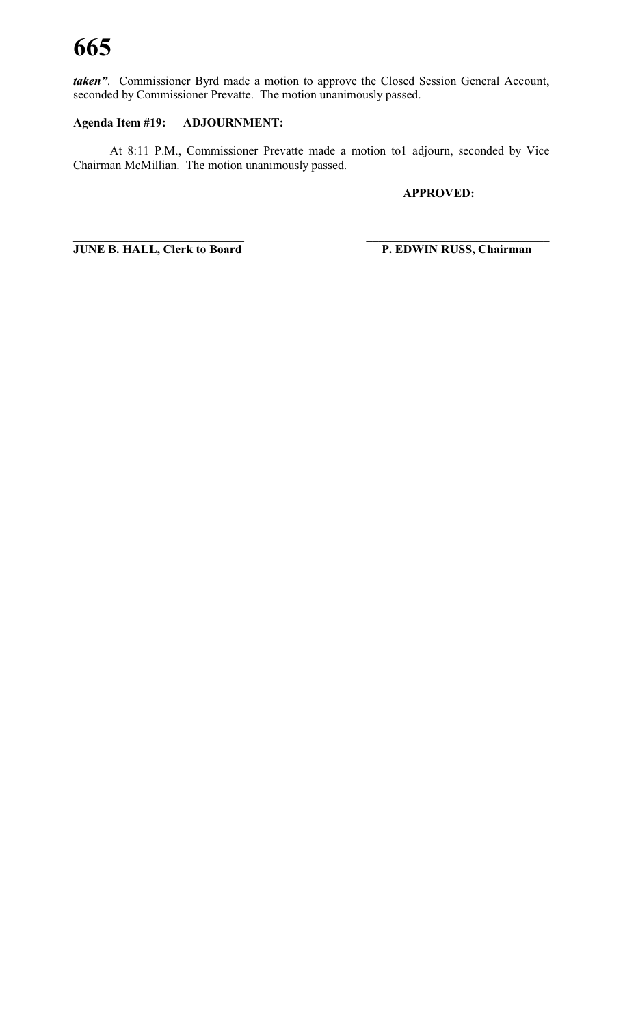*taken"*. Commissioner Byrd made a motion to approve the Closed Session General Account, seconded by Commissioner Prevatte. The motion unanimously passed.

# **Agenda Item #19: ADJOURNMENT:**

At 8:11 P.M., Commissioner Prevatte made a motion to1 adjourn, seconded by Vice Chairman McMillian. The motion unanimously passed.

## **APPROVED:**

**\_\_\_\_\_\_\_\_\_\_\_\_\_\_\_\_\_\_\_\_\_\_\_\_\_\_\_\_ \_\_\_\_\_\_\_\_\_\_\_\_\_\_\_\_\_\_\_\_\_\_\_\_\_\_\_\_\_\_ JUNE B. HALL, Clerk to Board P. EDWIN RUSS, Chairman**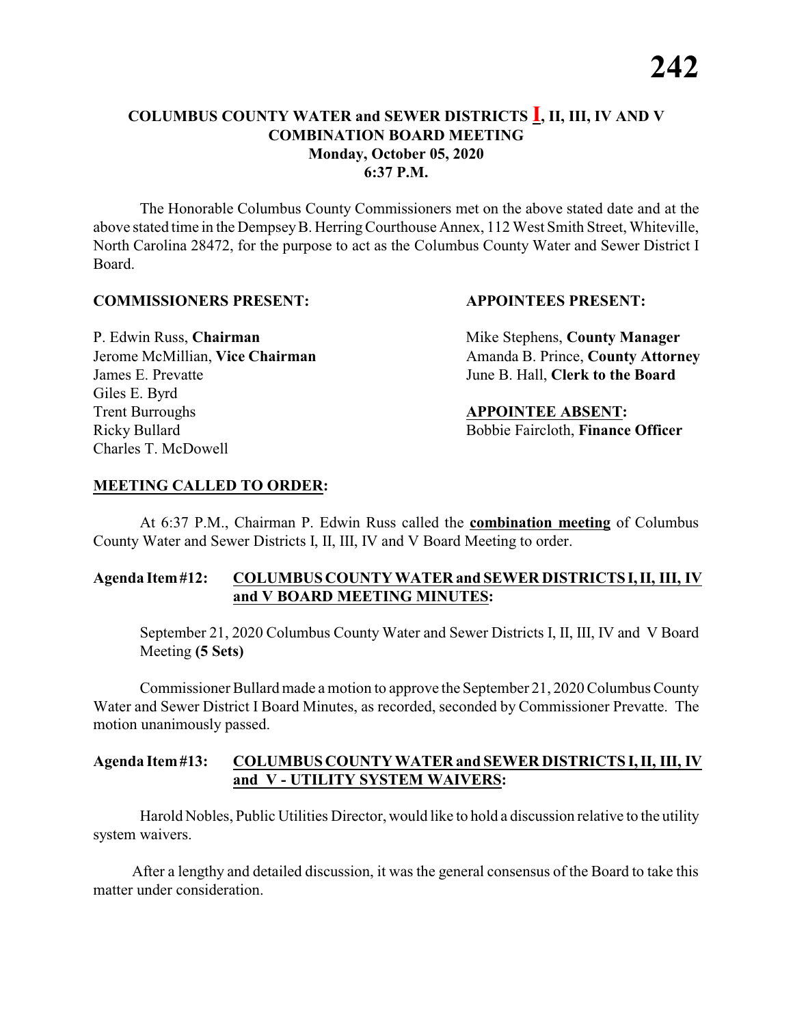The Honorable Columbus County Commissioners met on the above stated date and at the above stated time in the DempseyB. HerringCourthouse Annex, 112 West Smith Street, Whiteville, North Carolina 28472, for the purpose to act as the Columbus County Water and Sewer District I Board.

#### **COMMISSIONERS PRESENT: APPOINTEES PRESENT:**

James E. Prevatte June B. Hall, **Clerk to the Board** Giles E. Byrd **Trent Burroughs APPOINTEE ABSENT:** Ricky Bullard **Bobbie Faircloth, Finance Officer** Charles T. McDowell

P. Edwin Russ, **Chairman** Mike Stephens, **County Manager** Jerome McMillian, Vice Chairman Amanda B. Prince, County Attorney

#### **MEETING CALLED TO ORDER:**

At 6:37 P.M., Chairman P. Edwin Russ called the **combination meeting** of Columbus County Water and Sewer Districts I, II, III, IV and V Board Meeting to order.

### **Agenda Item#12: COLUMBUS COUNTY WATER and SEWER DISTRICTS I,II, III, IV and V BOARD MEETING MINUTES:**

September 21, 2020 Columbus County Water and Sewer Districts I, II, III, IV and V Board Meeting **(5 Sets)**

Commissioner Bullard made a motion to approve the September 21, 2020 Columbus County Water and Sewer District I Board Minutes, as recorded, seconded by Commissioner Prevatte. The motion unanimously passed.

#### **Agenda Item#13: COLUMBUS COUNTY WATER and SEWER DISTRICTS I, II, III, IV and V - UTILITY SYSTEM WAIVERS:**

Harold Nobles, Public Utilities Director, would like to hold a discussion relative to the utility system waivers.

After a lengthy and detailed discussion, it was the general consensus of the Board to take this matter under consideration.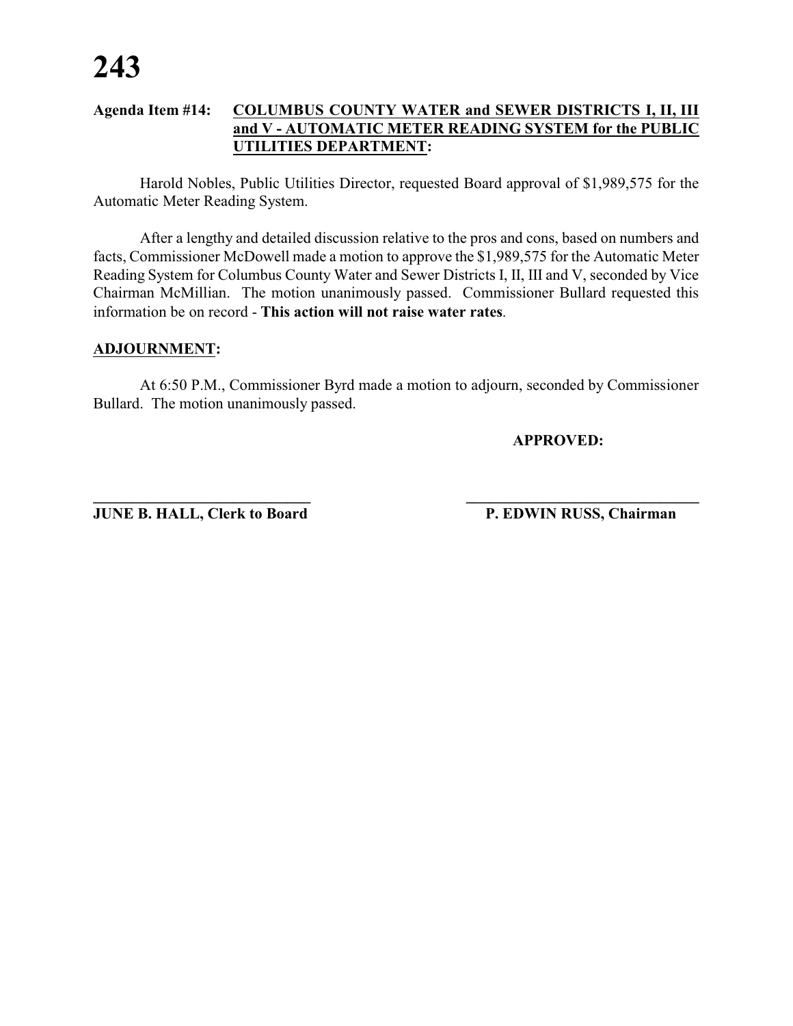### **Agenda Item #14: COLUMBUS COUNTY WATER and SEWER DISTRICTS I, II, III and V - AUTOMATIC METER READING SYSTEM for the PUBLIC UTILITIES DEPARTMENT:**

Harold Nobles, Public Utilities Director, requested Board approval of \$1,989,575 for the Automatic Meter Reading System.

After a lengthy and detailed discussion relative to the pros and cons, based on numbers and facts, Commissioner McDowell made a motion to approve the \$1,989,575 for the Automatic Meter Reading System for Columbus County Water and Sewer Districts I, II, III and V, seconded by Vice Chairman McMillian. The motion unanimously passed. Commissioner Bullard requested this information be on record - **This action will not raise water rates**.

#### **ADJOURNMENT:**

At 6:50 P.M., Commissioner Byrd made a motion to adjourn, seconded by Commissioner Bullard. The motion unanimously passed.

**APPROVED:**

**JUNE B. HALL, Clerk to Board P. EDWIN RUSS, Chairman** 

**\_\_\_\_\_\_\_\_\_\_\_\_\_\_\_\_\_\_\_\_\_\_\_\_\_\_\_\_ \_\_\_\_\_\_\_\_\_\_\_\_\_\_\_\_\_\_\_\_\_\_\_\_\_\_\_\_\_\_**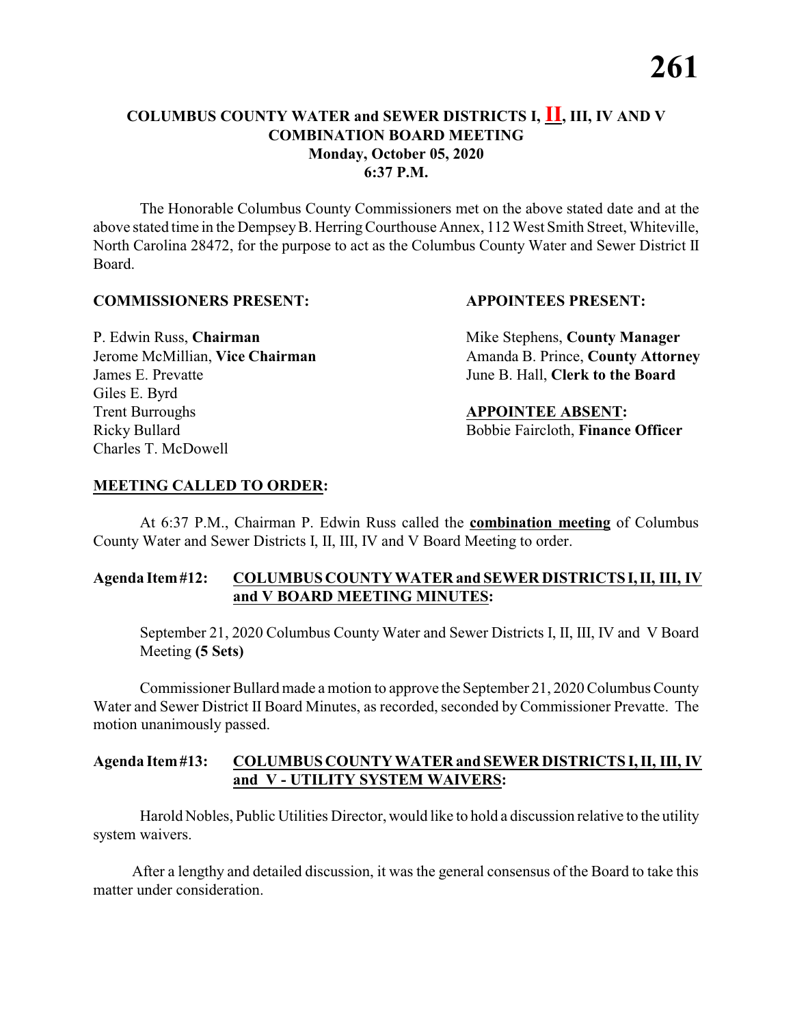The Honorable Columbus County Commissioners met on the above stated date and at the above stated time in the DempseyB. HerringCourthouse Annex, 112 West Smith Street, Whiteville, North Carolina 28472, for the purpose to act as the Columbus County Water and Sewer District II Board.

#### **COMMISSIONERS PRESENT: APPOINTEES PRESENT:**

James E. Prevatte June B. Hall, **Clerk to the Board** Giles E. Byrd **Trent Burroughs APPOINTEE ABSENT:** Ricky Bullard **Bobbie Faircloth, Finance Officer** Charles T. McDowell

P. Edwin Russ, **Chairman** Mike Stephens, **County Manager** Jerome McMillian, Vice Chairman Amanda B. Prince, County Attorney

# **MEETING CALLED TO ORDER:**

At 6:37 P.M., Chairman P. Edwin Russ called the **combination meeting** of Columbus County Water and Sewer Districts I, II, III, IV and V Board Meeting to order.

# **Agenda Item#12: COLUMBUS COUNTY WATER and SEWER DISTRICTS I,II, III, IV and V BOARD MEETING MINUTES:**

September 21, 2020 Columbus County Water and Sewer Districts I, II, III, IV and V Board Meeting **(5 Sets)**

Commissioner Bullard made a motion to approve the September 21, 2020 Columbus County Water and Sewer District II Board Minutes, as recorded, seconded byCommissioner Prevatte. The motion unanimously passed.

### **Agenda Item#13: COLUMBUS COUNTY WATER and SEWER DISTRICTS I, II, III, IV and V - UTILITY SYSTEM WAIVERS:**

Harold Nobles, Public Utilities Director, would like to hold a discussion relative to the utility system waivers.

After a lengthy and detailed discussion, it was the general consensus of the Board to take this matter under consideration.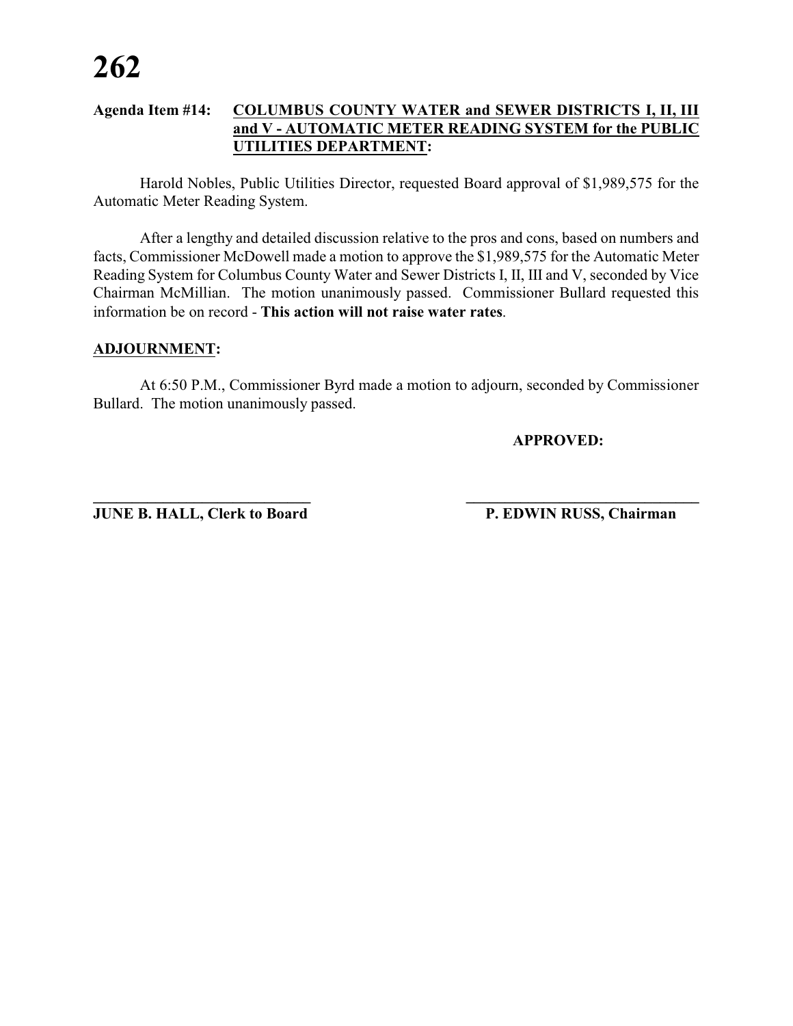### **Agenda Item #14: COLUMBUS COUNTY WATER and SEWER DISTRICTS I, II, III and V - AUTOMATIC METER READING SYSTEM for the PUBLIC UTILITIES DEPARTMENT:**

Harold Nobles, Public Utilities Director, requested Board approval of \$1,989,575 for the Automatic Meter Reading System.

After a lengthy and detailed discussion relative to the pros and cons, based on numbers and facts, Commissioner McDowell made a motion to approve the \$1,989,575 for the Automatic Meter Reading System for Columbus County Water and Sewer Districts I, II, III and V, seconded by Vice Chairman McMillian. The motion unanimously passed. Commissioner Bullard requested this information be on record - **This action will not raise water rates**.

#### **ADJOURNMENT:**

At 6:50 P.M., Commissioner Byrd made a motion to adjourn, seconded by Commissioner Bullard. The motion unanimously passed.

**APPROVED:**

**JUNE B. HALL, Clerk to Board P. EDWIN RUSS, Chairman** 

**\_\_\_\_\_\_\_\_\_\_\_\_\_\_\_\_\_\_\_\_\_\_\_\_\_\_\_\_ \_\_\_\_\_\_\_\_\_\_\_\_\_\_\_\_\_\_\_\_\_\_\_\_\_\_\_\_\_\_**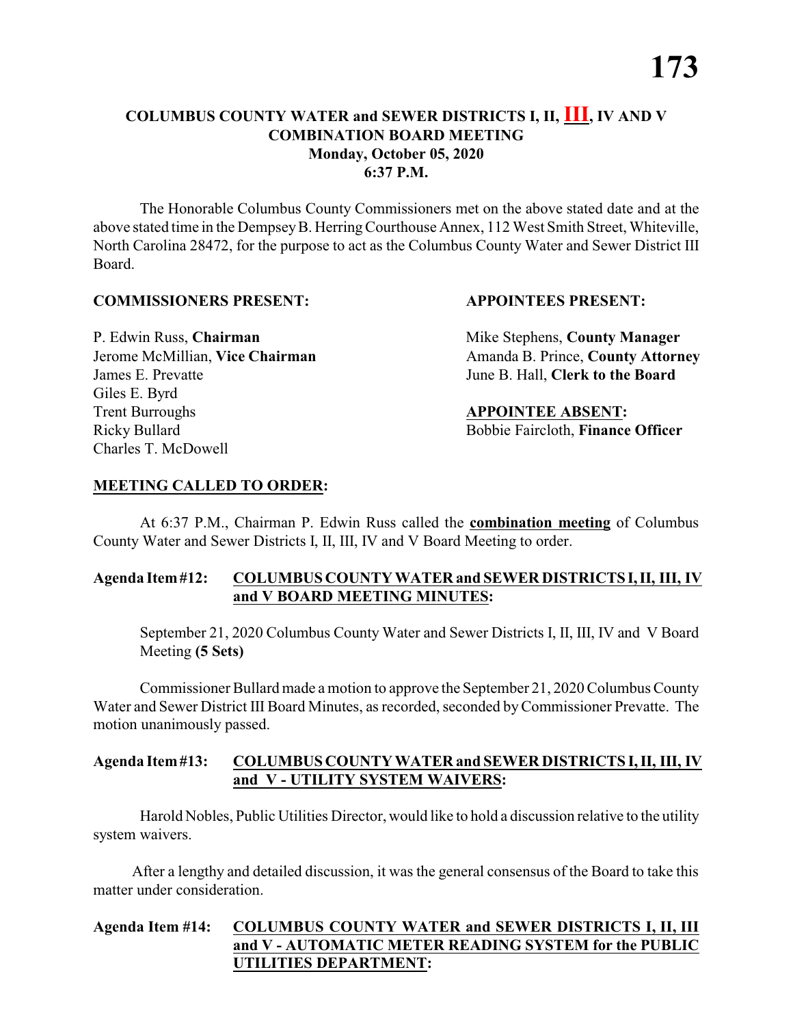The Honorable Columbus County Commissioners met on the above stated date and at the above stated time in the DempseyB. HerringCourthouse Annex, 112 West Smith Street, Whiteville, North Carolina 28472, for the purpose to act as the Columbus County Water and Sewer District III Board.

#### **COMMISSIONERS PRESENT: APPOINTEES PRESENT:**

James E. Prevatte June B. Hall, **Clerk to the Board** Giles E. Byrd **Trent Burroughs APPOINTEE ABSENT:** Ricky Bullard **Bobbie Faircloth, Finance Officer** Charles T. McDowell

P. Edwin Russ, **Chairman** Mike Stephens, **County Manager** Jerome McMillian, Vice Chairman Amanda B. Prince, County Attorney

# **MEETING CALLED TO ORDER:**

At 6:37 P.M., Chairman P. Edwin Russ called the **combination meeting** of Columbus County Water and Sewer Districts I, II, III, IV and V Board Meeting to order.

# **Agenda Item#12: COLUMBUS COUNTY WATER and SEWER DISTRICTS I,II, III, IV and V BOARD MEETING MINUTES:**

September 21, 2020 Columbus County Water and Sewer Districts I, II, III, IV and V Board Meeting **(5 Sets)**

Commissioner Bullard made a motion to approve the September 21, 2020 Columbus County Water and Sewer District III Board Minutes, as recorded, seconded byCommissioner Prevatte. The motion unanimously passed.

### **Agenda Item#13: COLUMBUS COUNTY WATER and SEWER DISTRICTS I, II, III, IV and V - UTILITY SYSTEM WAIVERS:**

Harold Nobles, Public Utilities Director, would like to hold a discussion relative to the utility system waivers.

After a lengthy and detailed discussion, it was the general consensus of the Board to take this matter under consideration.

# **Agenda Item #14: COLUMBUS COUNTY WATER and SEWER DISTRICTS I, II, III and V - AUTOMATIC METER READING SYSTEM for the PUBLIC UTILITIES DEPARTMENT:**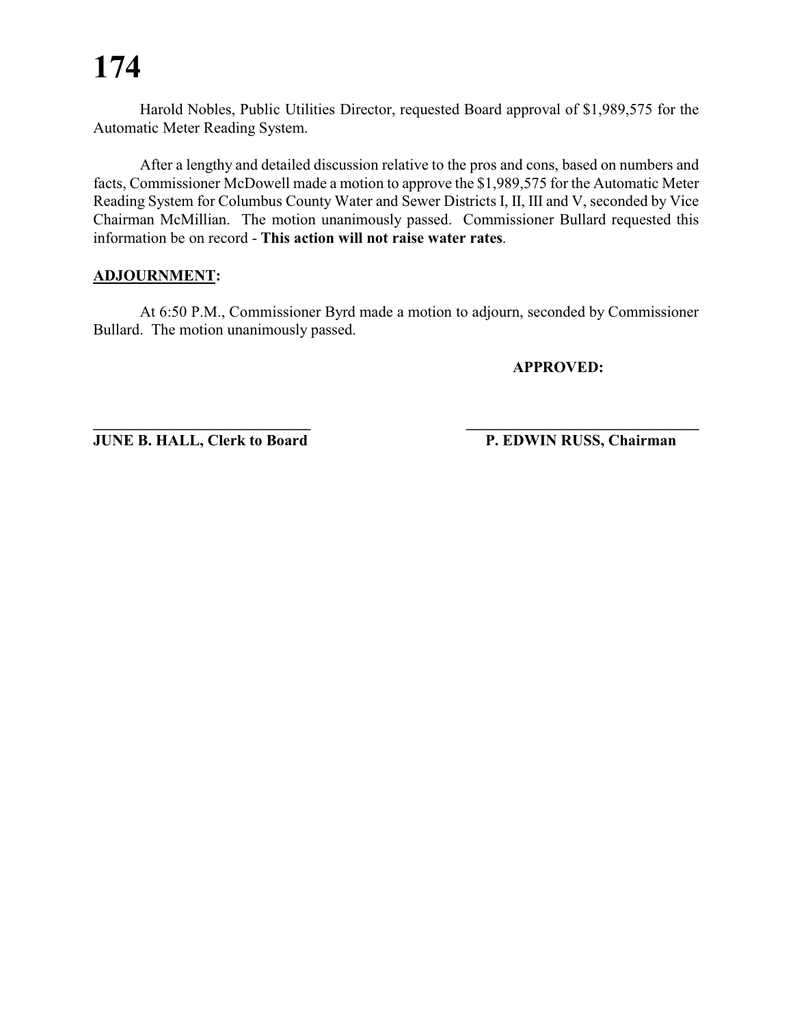Harold Nobles, Public Utilities Director, requested Board approval of \$1,989,575 for the Automatic Meter Reading System.

After a lengthy and detailed discussion relative to the pros and cons, based on numbers and facts, Commissioner McDowell made a motion to approve the \$1,989,575 for the Automatic Meter Reading System for Columbus County Water and Sewer Districts I, II, III and V, seconded by Vice Chairman McMillian. The motion unanimously passed. Commissioner Bullard requested this information be on record - **This action will not raise water rates**.

### **ADJOURNMENT:**

At 6:50 P.M., Commissioner Byrd made a motion to adjourn, seconded by Commissioner Bullard. The motion unanimously passed.

**\_\_\_\_\_\_\_\_\_\_\_\_\_\_\_\_\_\_\_\_\_\_\_\_\_\_\_\_ \_\_\_\_\_\_\_\_\_\_\_\_\_\_\_\_\_\_\_\_\_\_\_\_\_\_\_\_\_\_**

**APPROVED:**

**JUNE B. HALL, Clerk to Board P. EDWIN RUSS, Chairman**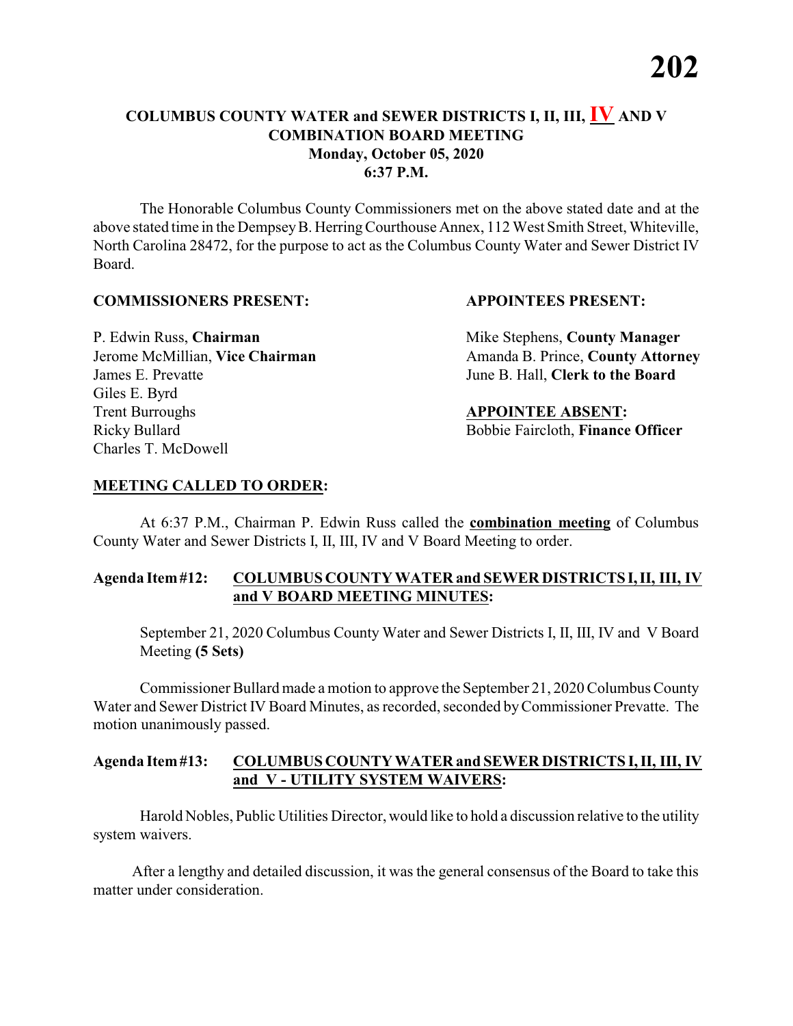The Honorable Columbus County Commissioners met on the above stated date and at the above stated time in the Dempsey B. Herring Courthouse Annex, 112 West Smith Street, Whiteville, North Carolina 28472, for the purpose to act as the Columbus County Water and Sewer District IV Board.

#### **COMMISSIONERS PRESENT: APPOINTEES PRESENT:**

James E. Prevatte June B. Hall, **Clerk to the Board** Giles E. Byrd **Trent Burroughs APPOINTEE ABSENT:** Ricky Bullard **Bobbie Faircloth, Finance Officer** Charles T. McDowell

P. Edwin Russ, **Chairman** Mike Stephens, **County Manager** Jerome McMillian, Vice Chairman Amanda B. Prince, County Attorney

# **MEETING CALLED TO ORDER:**

At 6:37 P.M., Chairman P. Edwin Russ called the **combination meeting** of Columbus County Water and Sewer Districts I, II, III, IV and V Board Meeting to order.

# **Agenda Item#12: COLUMBUS COUNTY WATER and SEWER DISTRICTS I,II, III, IV and V BOARD MEETING MINUTES:**

September 21, 2020 Columbus County Water and Sewer Districts I, II, III, IV and V Board Meeting **(5 Sets)**

Commissioner Bullard made a motion to approve the September 21, 2020 Columbus County Water and Sewer District IV Board Minutes, as recorded, seconded byCommissioner Prevatte. The motion unanimously passed.

### **Agenda Item#13: COLUMBUS COUNTY WATER and SEWER DISTRICTS I, II, III, IV and V - UTILITY SYSTEM WAIVERS:**

Harold Nobles, Public Utilities Director, would like to hold a discussion relative to the utility system waivers.

After a lengthy and detailed discussion, it was the general consensus of the Board to take this matter under consideration.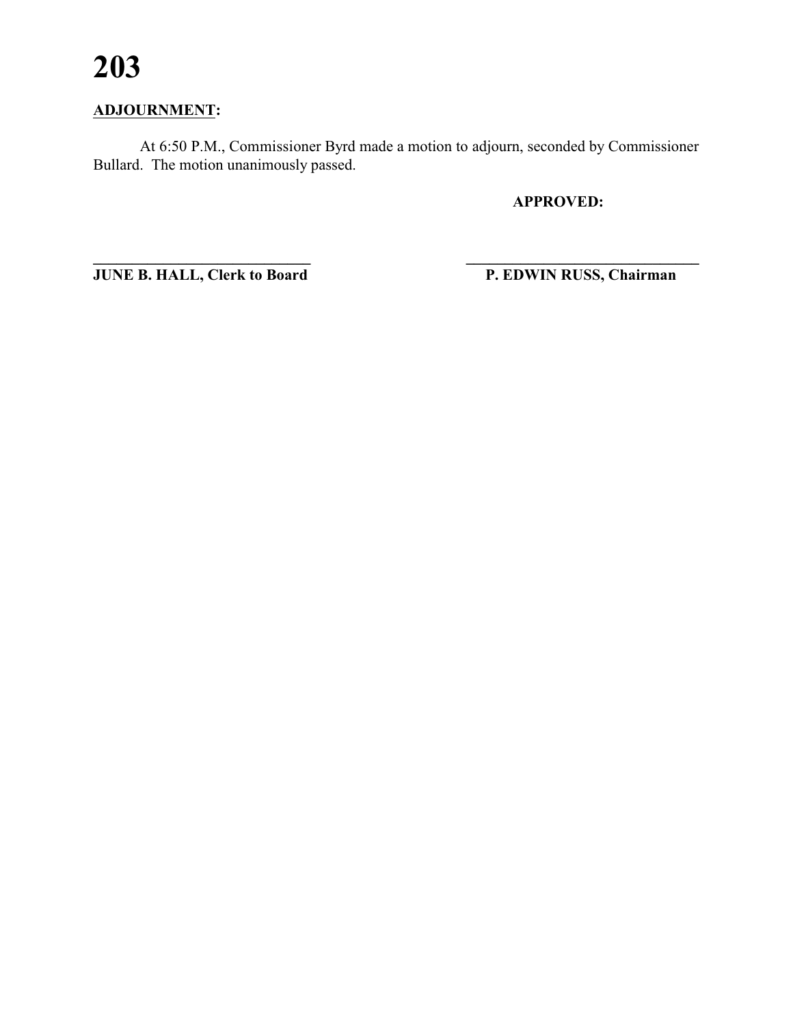# **ADJOURNMENT:**

At 6:50 P.M., Commissioner Byrd made a motion to adjourn, seconded by Commissioner Bullard. The motion unanimously passed.

**APPROVED:**

**JUNE B. HALL, Clerk to Board** 

P. EDWIN RUSS, Chairman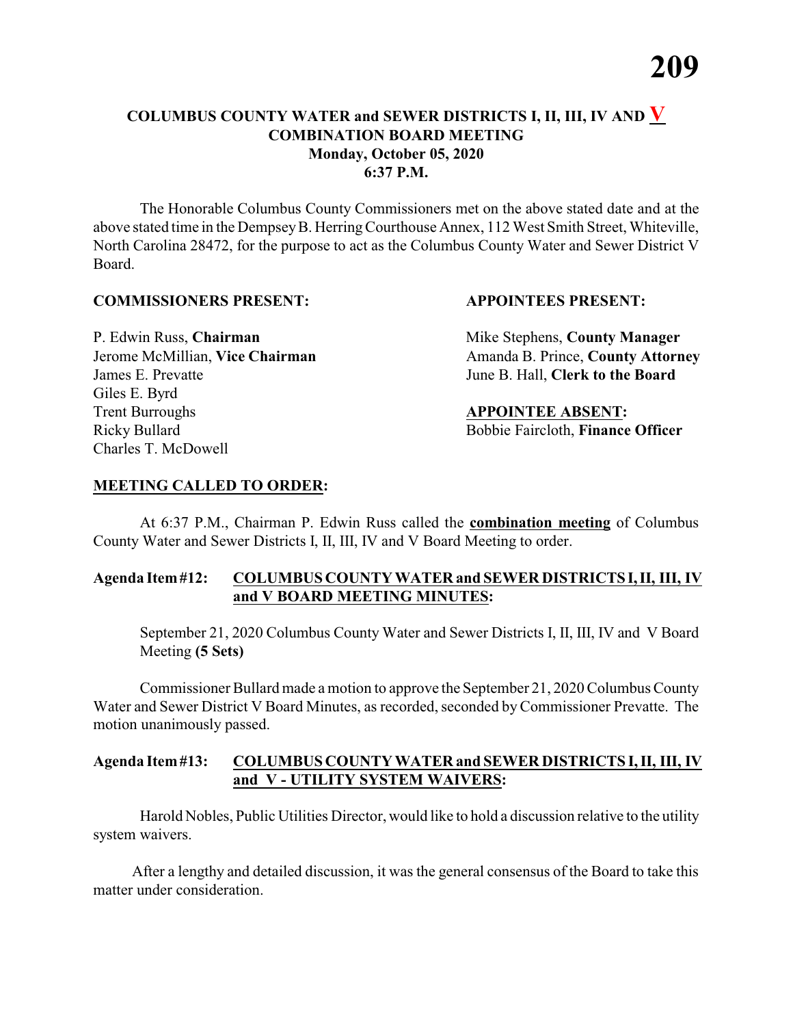The Honorable Columbus County Commissioners met on the above stated date and at the above stated time in the Dempsey B. Herring Courthouse Annex, 112 West Smith Street, Whiteville, North Carolina 28472, for the purpose to act as the Columbus County Water and Sewer District V Board.

#### **COMMISSIONERS PRESENT: APPOINTEES PRESENT:**

James E. Prevatte June B. Hall, **Clerk to the Board** Giles E. Byrd **Trent Burroughs APPOINTEE ABSENT:** Ricky Bullard **Bobbie Faircloth, Finance Officer** Charles T. McDowell

P. Edwin Russ, **Chairman** Mike Stephens, **County Manager** Jerome McMillian, Vice Chairman Amanda B. Prince, County Attorney

#### **MEETING CALLED TO ORDER:**

At 6:37 P.M., Chairman P. Edwin Russ called the **combination meeting** of Columbus County Water and Sewer Districts I, II, III, IV and V Board Meeting to order.

### **Agenda Item#12: COLUMBUS COUNTY WATER and SEWER DISTRICTS I,II, III, IV and V BOARD MEETING MINUTES:**

September 21, 2020 Columbus County Water and Sewer Districts I, II, III, IV and V Board Meeting **(5 Sets)**

Commissioner Bullard made a motion to approve the September 21, 2020 Columbus County Water and Sewer District V Board Minutes, as recorded, seconded byCommissioner Prevatte. The motion unanimously passed.

#### **Agenda Item#13: COLUMBUS COUNTY WATER and SEWER DISTRICTS I, II, III, IV and V - UTILITY SYSTEM WAIVERS:**

Harold Nobles, Public Utilities Director, would like to hold a discussion relative to the utility system waivers.

After a lengthy and detailed discussion, it was the general consensus of the Board to take this matter under consideration.